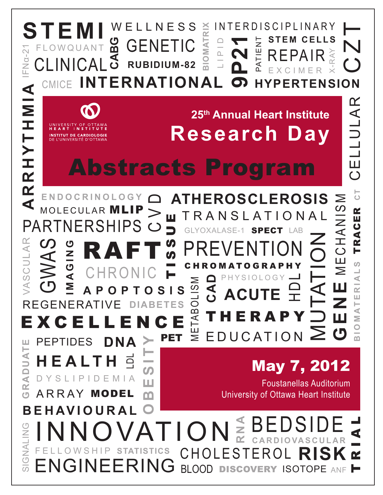#### **ELLNESS RIX** INTERDISCIPLINARY **S T E M I BIOMATRIX** C Z T MATI **STEM CELLS CABG** PATIENT PATIENT GENETIC F L O W Q U A N T α-21 REPAIR RAY  $\underline{\cap}$  $\frac{1}{10}$  $\Box$ Ali **RUBIDIUM-82**   $\Xi$ E X C I M E R **INTERNATIONA 9** CMICE **HYPERTENSION**  $\blacktriangleleft$ **A R R H Y T H M I A** CELLULAR

# **25th Annual Heart Institute Research Day**

**ATHEROSCLEROSIS** 

# Abstracts Program

C V D MOLECULAR MLIP T R A N S L A T I O N A L Ш T I S S U E PARTNERSHIPS  $\Box$ GLY LAB SPECT U<br>Z<br>I PREVENTION **I M A G I N G** RAFT <u>ଠ</u> C H R O M A T O G R A P H Y **CHRONIC** SE CHITTLE RAPY<br>
FOUCATION<br>
CHOLESTEROL **CAD** P H Y S I O L O G Y**MARTIAL AND THING AND THE RAPY**<br> **EXACUTE THE RAPY**<br>
FEDUCATION  $\mathsf C\mathsf T$ Σ **A P O P T O S I S ACUTE** REGENERATIVE **DIABETES** E X C E L L E N C E

PEPTIDES  $DNA > PET \geq EDUCATION$ 

PET

**H E A L T H**

D Y S L I P I D E M I A

**E N D O C R I N O L O G Y**

UNIVERSITY OF OT

**INSTITUT DE CARDIOLOGIE**<br>DE L'UNIVERSITÉ D'OTTAWA

A R R AY

**GRADUATE**

 $\overline{\textbf{A}}$ 

ΩŻ

J<br>J  $\bar{\mathsf{a}}$ 

Ш

VASCULAR

VASCULAR

NH<br>NH

Н

RHY

 $\alpha$ 

 $\blacktriangleleft$ 

MODEL

**DNA**

 $\Box$ 

 $\boldsymbol{\omega}$ 

ш

m

May 7, 2012

**G E N E**

M E C H A N I S M

Ш

I<br>A<br>I

 $\geq$ 

 $\frac{3}{2}$ 

TRACER

U)

 $\overline{\phantom{0}}$ 

 $R1A1$ 

TRACER

**B I O M AT E R I A L S** 

BIOMATE

**CT**

CELLULAR

MUTATION

Foustanellas Auditorium University of Ottawa Heart Institute

**O B E S I T Y B E H AV I O U R A L** BEDSIDE **R N A** T R I A L F**IOI**<br>® Chol **ONLIANTE GINALIKANG C A R D I O VA S C U L A R ATISTICS** F E L L O W S H I P **RISK RING BLOOD** ENGINEE DISCOVERY ISOTOPE ANF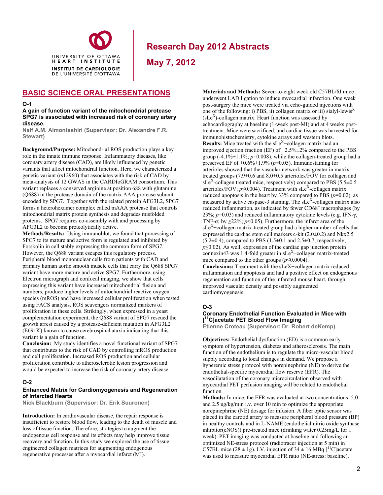

**May 7, 2012**

### **BASIC SCIENCE ORAL PRESENTATIONS**

#### **O-1**

**A gain of function variant of the mitochondrial protease SPG7 is associated with increased risk of coronary artery disease.** 

**Naif A.M. Almontashiri (Supervisor: Dr. Alexandre F.R. Stewart)** 

**Background/Purpose:** Mitochondrial ROS production plays a key role in the innate immune response. Inflammatory diseases, like coronary artery disease (CAD), are likely influenced by genetic variants that affect mitochondrial function. Here, we characterized a genetic variant (rs12960) that associates with the risk of CAD by meta-analysis of 12 GWAS in the CARDIoGRAM consortium. This variant replaces a conserved arginine at position 688 with glutamine (Q688) in the protease domain of the matrix AAA protease subunit encoded by SPG7. Together with the related protein AFG3L2, SPG7 forms a heterohexamer complex called mAAA protease that controls mitochondrial matrix protein synthesis and degrades misfolded proteins. SPG7 requires co-assembly with and processing by AFG3L2 to become proteolytically active.

**Methods/Results:** Using immunoblot, we found that processing of SPG7 to its mature and active form is regulated and inhibited by Forskolin in cell stably expressing the common form of SPG7. However, the Q688 variant escapes this regulatory process. Peripheral blood mononuclear cells from patients with CAD and primary human aortic smooth muscle cells that carry the Q688 SPG7 variant have more mature and active SPG7. Furthermore, using Electron micrograph and confocal imaging, we show that cells expressing this variant have increased mitochondrial fusion and numbers, produce higher levels of mitochondrial reactive oxygen species (mROS) and have increased cellular proliferation when tested using FACS analysis. ROS scavengers normalized markers of proliferation in these cells. Strikingly, when expressed in a yeast complementation experiment, the Q688 variant of SPG7 rescued the growth arrest caused by a protease-deficient mutation in AFG3L2 (E691K) known to cause cerebrospinal ataxia indicating that this variant is a gain of function.

**Conclusion:** My study identifies a novel functional variant of SPG7 that contributes to the risk of CAD by controlling mROS production and cell proliferation. Increased ROS production and cellular proliferation contribute to atherosclerotic lesion progression and would be expected to increase the risk of coronary artery disease.

#### **O-2**

#### **Enhanced Matrix for Cardiomyogenesis and Regeneration of Infarcted Hearts**

**Nick Blackburn (Supervisor: Dr. Erik Suuronen)** 

**Introduction:** In cardiovascular disease, the repair response is insufficient to restore blood flow, leading to the death of muscle and loss of tissue function. Therefore, strategies to augment the endogenous cell response and its effects may help improve tissue recovery and function. In this study we explored the use of tissue engineered collagen matrices for augmenting endogenous regenerative processes after a myocardial infarct (MI).

**Materials and Methods:** Seven-to-eight week old C57BL/6J mice underwent LAD ligation to induce myocardial infarction. One week post-surgery the mice were treated via echo-guided injections with one of the following: i) PBS, ii) collagen matrix or iii) sialyl-lewis<sup>X</sup>  $(sLe<sup>X</sup>)$ -collagen matrix. Heart function was assessed by echocardiography at baseline (1-week post-MI) and at 4 weeks posttreatment. Mice were sacrificed, and cardiac tissue was harvested for immunohistochemistry, cytokine arrays and western blots. **Results:** Mice treated with the  $sLe^{X}$ +collagen matrix had an improved ejection fraction (EF) of  $+2.5\% \pm 2\%$  compared to the PBS group  $(-4.1\% \pm 1.1\%; p=0.008)$ , while the collagen-treated group had a preserved EF of  $+0.6\% \pm 1.9\%$  ( $p=0.05$ ). Immunostaining for arterioles showed that the vascular network was greater in matrixtreated groups (7.9±0.6 and 8.0±0.5 arterioles/FOV for collagen and sLe<sup>X</sup>-collagen treated mice, respectively) compared to PBS (5.5 $\pm$ 0.5 arterioles/FOV;  $p \le 0.004$ ). Treatment with sLe<sup>X</sup>-collagen matrix reduced apoptosis in the heart by 33% compared to PBS  $(p=0.02)$ , as measured by active caspase-3 staining. The  $sLe^X$ -collagen matrix also reduced inflammation, as indicated by fewer CD68<sup>+</sup> macrophages (by 23%; *p*=0.03) and reduced inflammatory cytokine levels (e.g. IFN-γ, TNF- $\alpha$ : by >22%; *p*<0.05). Furthermore, the infarct area of the  $sLe^{X}$ +collagen matrix-treated group had a higher number of cells that expressed the cardiac stem cell markers c-kit  $(2.0\pm0.2)$  and Nkx2.5  $(5.2\pm0.4)$ , compared to PBS  $(1.5\pm0.1$  and  $2.5\pm0.7$ , respectively; *p*≤0.02). As well, expression of the cardiac gap junction protein connexin43 was  $1.4$ -fold greater in sLe<sup>X</sup>+collagen matrix-treated mice compared to the other groups (*p*≤0.0004).

**Conclusions:** Treatment with the sLeX+collagen matrix reduced inflammation and apoptosis and had a positive effect on endogenous regeneration and function of the infarcted mouse heart, through improved vascular density and possibly augmented cardiomyogenesis.

### **O-3**

### **Coronary Endothelial Function Evaluated in Mice with [ 11C]acetate PET Blood Flow Imaging**

**Etienne Croteau (Supervisor: Dr. Robert deKemp)** 

**Objectives:** Endothelial dysfunction (ED) is a common early symptom of hypertension, diabetes and atherosclerosis. The main function of the endothelium is to regulate the micro-vascular blood supply according to local changes in demand. We propose a hyperemic stress protocol with norepinephrine (NE) to derive the endothelial-specific myocardial flow reserve (EFR). The vasodilatation of the coronary microcirculation observed with myocardial PET perfusion imaging will be related to endothelial function.

**Methods:** In mice, the EFR was evaluated at two concentrations: 5.0 and 2.5 ug/kg/min i.v. over 10 min to optimize the appropriate norepinephrine (NE) dosage for infusion. A fiber optic sensor was placed in the carotid artery to measure peripheral blood pressure (BP) in healthy controls and in L-NAME (endothelial nitric oxide synthase inhibitor(eNOS)) pre-treated mice (drinking water 0.25mg/L for 1 week). PET imaging was conducted at baseline and following an optimized NE-stress protocol (radiotracer injection at 5 min) in C57BL mice (28  $\pm$  1g). I.V. injection of 34  $\pm$  16 MBq [<sup>11</sup>C]acetate was used to measure myocardial EFR ratio (NE-stress: baseline).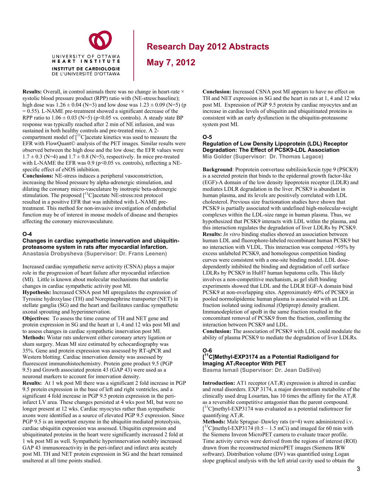

**May 7, 2012**

**Results:** Overall, in control animals there was no change in heart-rate  $\times$ systolic blood pressure product (RPP) ratio with (NE-stress:baseline); high dose was  $1.26 \pm 0.04$  (N=3) and low dose was  $1.23 \pm 0.09$  (N=5) (p  $= 0.55$ ). L-NAME pre-treatment showed a significant decrease of the RPP ratio to  $1.06 \pm 0.03$  (N=5) (p<0.05 vs. controls). A steady state BP response was typically reached after 2 min of NE infusion, and was sustained in both healthy controls and pre-treated mice. A 2 compartment model of  $\int_1^{11}$ C]acetate kinetics was used to measure the EFR with FlowQuant© analysis of the PET images. Similar results were observed between the high dose and the low dose; the EFR values were  $1.7 \pm 0.3$  (N=4) and  $1.7 \pm 0.8$  (N=5), respectively. In mice pre-treated with L-NAME the EFR was  $0.9$  (p<0.05 vs. controls), reflecting a NEspecific effect of eNOS inhibition.

**Conclusions:** NE-stress induces a peripheral vasoconstriction, increasing the blood pressure by alpha-adrenergic stimulation, and dilating the coronary micro-vasculature by inotropic beta-adrenergic stimulation. The proposed [<sup>11</sup>C]acetate NE-stress:rest protocol resulted in a positive EFR that was inhibited with L-NAME pretreatment. This method for non-invasive investigation of endothelial function may be of interest in mouse models of disease and therapies affecting the coronary microvasculature.

#### **O-4**

#### **Changes in cardiac sympathetic innervation and ubiquitinproteasome system in rats after myocardial infarction. Anastasia Drobysheva (Supervisor: Dr. Frans Leenen)**

Increased cardiac sympathetic nerve activity (CSNA) plays a major role in the progression of heart failure after myocardial infarction (MI). Little is known about molecular mechanisms that underlie changes in cardiac sympathetic activity post MI.

**Hypothesis:** Increased CSNA post MI upregulates the expression of Tyrosine hydroxylase (TH) and Norepinephrine transporter (NET) in stellate ganglia (SG) and the heart and facilitates cardiac sympathetic axonal sprouting and hyperinnervation.

**Objectives:** To assess the time course of TH and NET gene and protein expression in SG and the heart at 1, 4 and 12 wks post MI and to assess changes in cardiac sympathetic innervation post MI. **Methods:** Wistar rats underwent either coronary artery ligation or sham surgery. Mean MI size estimated by echocardiography was 35%. Gene and protein expression was assessed by RT-qPCR and Western blotting. Cardiac innervation density was assessed by fluorescent immunohistochemistry. Protein gene product 9.5 (PGP 9.5) and Growth associated protein 43 (GAP 43) were used as a neuronal markers to account for innervation density.

**Results:** At 1 wk post MI there was a significant 2 fold increase in PGP 9.5 protein expression in the base of left and right ventricles, and a significant 4 fold increase in PGP 9.5 protein expression in the periinfarct LV area. These changes persisted at 4 wks post MI, but were no longer present at 12 wks. Cardiac myocytes rather than sympathetic axons were identified as a source of elevated PGP 9.5 expression. Since PGP 9.5 is an important enzyme in the ubiquitin mediated proteolysis, cardiac ubiquitin expression was assessed. Ubiquitin expression and ubiquitinated proteins in the heart were significantly increased 2 fold at 1 wk post MI as well. Sympathetic hyperinnervation notably increased GAP 43 immunoreactivity in the peri-infarct and infarct area acutely post MI. TH and NET protein expression in SG and the heart remained unaltered at all time points studied.

**Conclusion:** Increased CSNA post MI appears to have no effect on TH and NET expression in SG and the heart in rats at 1, 4 and 12 wks post MI. Expression of PGP 9.5 protein by cardiac myocytes and an increase in cardiac levels of ubiquitin and ubiquitinated proteins is consistent with an early dysfunction in the ubiquitin-proteasome system post MI.

#### **O-5**

**Regulation of Low Density Lipoprotein (LDL) Receptor Degradation: The Effect of PCSK9-LDL Association Mia Golder (Supervisor: Dr. Thomas Lagace)** 

**Background**: Proprotein convertase subtilisin/kexin type 9 (PSCK9) is a secreted protein that binds to the epidermal growth factor-like (EGF)-A domain of the low density lipoprotein receptor (LDLR) and mediates LDLR degradation in the liver. PCSK9 is abundant in human plasma, and its levels are positively correlated with LDL cholesterol. Previous size fractionation studies have shown that PCSK9 is partially associated with undefined high-molecular-weight complexes within the LDL-size range in human plasma. Thus, we hypothesized that PCSK9 interacts with LDL within the plasma, and this interaction regulates the degradation of liver LDLRs by PCSK9. **Results:** *In vitro* binding studies showed an association between human LDL and fluorophore-labeled recombinant human PCSK9 but no interaction with VLDL. This interaction was competed >95% by excess unlabeled PCSK9, and homologous competition binding curves were consistent with a one-site binding model. LDL dosedependently inhibited the binding and degradation of cell surface LDLRs by PCSK9 in HuH7 human hepatoma cells. This likely involves a non-competitive mechanism, as gel shift binding experiments showed that LDL and the LDLR EGF-A domain bind PCSK9 at non-overlapping sites. Approximately 40% of PCSK9 in pooled normolipidemic human plasma is associated with an LDL fraction isolated using iodixonal (Optiprep) density gradient. Immunodepletion of apoB in the same fraction resulted in the concomitant removal of PCSK9 from the fraction, confirming the interaction between PCSK9 and LDL.

**Conclusion:** The association of PCSK9 with LDL could modulate the ability of plasma PCSK9 to mediate the degradation of liver LDLRs.

#### **O-6 [ 11C]Methyl-EXP3174 as a Potential Radioligand for Imaging AT<sub>1</sub>Receptor With PET**

**Basma Ismail (Supervisor: Dr. Jean DaSilva)** 

**Introduction:** AT1 receptor (AT<sub>1</sub>R) expression is altered in cardiac and renal disorders. EXP 3174, a major downstream metabolite of the clinically used drug Losartan, has 10 times the affinity for the  $AT_1R$ as a reversible competitive antagonist than the parent compound.  $[$ <sup>11</sup>C]methyl-EXP3174 was evaluated as a potential radiotracer for quantifying  $AT_1R$ .

**Methods:** Male Sprague–Dawley rats (n=4) were administered i.v.  $\int$ <sup>11</sup>C methyl-EXP3174 (0.5 – 1.5 mCi) and imaged for 60 min with the Siemens Inveon MicroPET camera to evaluate tracer profile. Time activity curves were derived from the regions of interest (ROI) drawn from the reconstructed microPET images (Siemens IRW software). Distribution volume (DV) was quantified using Logan slope graphical analysis with the left atrial cavity used to obtain the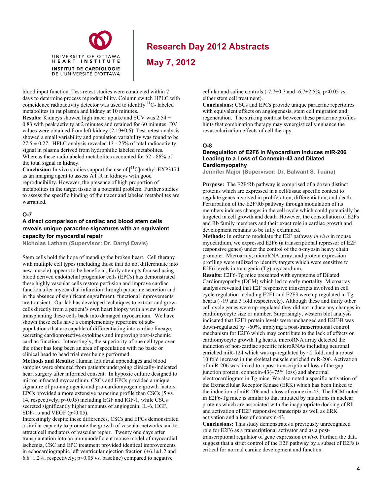

**May 7, 2012**

blood input function. Test-retest studies were conducted within 7 days to determine process reproducibility. Column switch HPLC with coincidence radioactivity detector was used to identify <sup>11</sup>C- labeled metabolites in rat plasma and kidney at 10 minutes.

**Results:** Kidneys showed high tracer uptake and SUV was 2.54 ± 0.83 with peak activity at 2 minutes and retained for 60 minutes. DV values were obtained from left kidney (2.19±0.6). Test-retest analysis showed a small variability and population variability was found to be  $27.5 \pm 0.27$ . HPLC analysis revealed 13 - 25% of total radioactivity signal in plasma derived from hydrophilic labeled metabolites. Whereas these radiolabeled metabolites accounted for 52 - 86% of the total signal in kidney.

**Conclusion:** In vivo studies support the use of  $\int_1^{11}C$  methyl-EXP3174 as an imaging agent to assess  $AT_1R$  in kidneys with good reproducibility. However, the presence of high proportion of metabolites in the target tissue is a potential problem. Further studies to assess the specific binding of the tracer and labeled metabolites are warranted.

#### **O-7**

#### **A direct comparison of cardiac and blood stem cells reveals unique paracrine signatures with an equivalent capacity for myocardial repair**

**Nicholas Latham (Supervisor: Dr. Darryl Davis)** 

Stem cells hold the hope of mending the broken heart. Cell therapy with multiple cell types (including those that do not differentiate into new muscle) appears to be beneficial. Early attempts focused using blood derived endothelial progenitor cells (EPCs) has demonstrated these highly vascular cells restore perfusion and improve cardiac function after myocardial infarction through paracrine secretion and in the absence of significant engraftment, functional improvements are transient. Our lab has developed techniques to extract and grow cells directly from a patient's own heart biopsy with a view towards transplanting these cells back into damaged myocardium. We have shown these cells have a complementary repertoire of subpopulations that are capable of differentiating into cardiac lineage, secreting cardioprotective cytokines and improving post-ischemic cardiac function. Interestingly, the superiority of one cell type over the other has long been an area of speculation with no basic or clinical head to head trial ever being performed.

**Methods and Results:** Human left atrial appendages and blood samples were obtained from patients undergoing clinically-indicated heart surgery after informed consent. In hypoxic culture designed to mirror infracted myocardium, CSCs and EPCs provided a unique signature of pro-angiogenic and pro-cardiomyogenic growth factors. EPCs provided a more extensive paracrine profile than CSCs (5 vs. 14, respectively; p<0.05) including EGF and IGF-1, while CSCs secreted significantly higher amounts of angiogenin, IL-6, HGF, SDF-1 $\alpha$  and VEGF (p<0.05).

Interestingly despite these differences, CSCs and EPCs demonstrated a similar capacity to promote the growth of vascular networks and to attract cell mediators of vascular repair. Twenty one days after transplantation into an immunodeficient mouse model of myocardial ischemia, CSC and EPC treatment provided identical improvements in echocardiographic left ventricular ejection fraction  $(+6.1 \pm 1.2$  and  $6.8\pm1.2\%$ , respectively; p<0.05 vs. baseline) compared to negative

cellular and saline controls  $(-7.7\pm0.7$  and  $-6.7\pm2.5\%$ , p<0.05 vs. either stem cell treatment).

**Conclusions:** CSCs and EPCs provide unique paracrine repertoires with equivalent effects on angiogenesis, stem cell migration and regeneration. The striking contrast between these paracrine profiles hints that combination therapy may synergistically enhance the revascularization effects of cell therapy.

#### **O-8**

#### **Deregulation of E2F6 in Myocardium Induces miR-206 Leading to a Loss of Connexin-43 and Dilated Cardiomyopathy**

**Jennifer Major (Supervisor: Dr. Balwant S. Tuana)** 

**Purpose:** The E2F/Rb pathway is comprised of a dozen distinct proteins which are expressed in a cell/tissue specific context to regulate genes involved in proliferation, differentiation, and death. Perturbation of the E2F/Rb pathway through modulation of its members induces changes in the cell cycle which could potentially be targeted in cell growth and death. However, the constellation of E2Fs and Rb family members and their exact role in cardiac growth and development remains to be fully examined.

**Methods:** In order to modulate the E2F pathway *in vivo* in mouse myocardium, we expressed E2F6 (a transcriptional repressor of E2F responsive genes) under the control of the α-myosin heavy chain promoter. Microarray, microRNA array, and protein expression profiling were utilized to identify targets which were sensitive to E2F6 levels in transgenic (Tg) myocardium.

**Results:** E2F6-Tg mice presented with symptoms of Dilated Cardiomyopathy (DCM) which led to early mortality. Microarray analysis revealed that E2F responsive transcripts involved in cell cycle regulation including E2F1 and E2F3 were up regulated in Tg hearts (~19 and 3 fold respectively). Although these and thirty other cell cycle genes were up-regulated they did not induce any changes in cardiomyocyte size or number. Surprisingly, western blot analysis indicated that E2F1 protein levels were unchanged and E2F3B was down-regulated by ~60%, implying a post-transcriptional control mechanism for E2F6 which may contribute to the lack of effects on cardiomyocyte growth Tg hearts. microRNA array detected the induction of non-cardiac specific microRNAs including neuronal enriched miR-124 which was up-regulated by  $\sim$ 2 fold, and a robust 10 fold increase in the skeletal muscle enriched miR-206. Activation of miR-206 was linked to a post-transcriptional loss of the gap junction protein, connexin- $43(\sim 75\% \text{ loss})$  and abnormal electrocardiogram in Tg mice. We also noted a specific activation of the Extracellular Receptor Kinase (ERK) which has been linked to the induction of miR-206 and a loss of connexin-43. The DCM noted in E2F6-Tg mice is similar to that initiated by mutations in nuclear proteins which are associated with the inappropriate docking of Rb and activation of E2F responsive transcripts as well as ERK activation and a loss of connexin-43.

**Conclusions:** This study demonstrates a previously unrecognized role for E2F6 as a transcriptional activator and as a posttranscriptional regulator of gene expression *in vivo*. Further, the data suggest that a strict control of the E2F pathway by a subset of E2Fs is critical for normal cardiac development and function.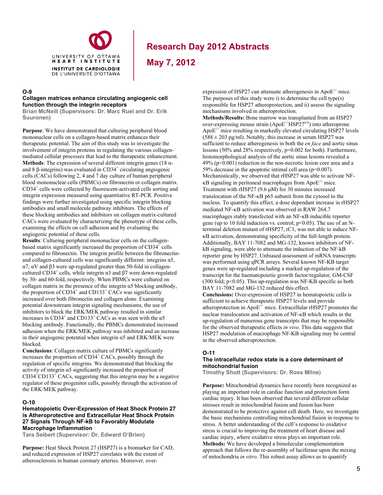

**May 7, 2012**

#### **O-9**

#### **Collagen matrices enhance circulating angiogenic cell function through the integrin receptors**

**Brian McNeill (Supervisors: Dr. Marc Ruel and Dr. Erik Suuronen)** 

**Purpose**: We have demonstrated that culturing peripheral blood mononuclear cells on a collagen-based matrix enhances their therapeutic potential. The aim of this study was to investigate the involvement of integrin proteins in regulating the various collagenmediated cellular processes that lead to the therapeutic enhancement. **Methods**: The expression of several different integrin genes (18 αand 8  $\beta$ -integrins) was evaluated in CD34<sup>+</sup> circulating angiogenic cells (CACs) following 2, 4 and 7 day culture of human peripheral blood mononuclear cells (PBMCs) on fibronectin or collagen matrix. CD34+ cells were collected by fluorescent-activated cells sorting and integrin expression measured using quantitative RT-PCR. Positive findings were further investigated using specific integrin blocking antibodies and small molecule pathway inhibitors. The effects of these blocking antibodies and inhibitors on collagen matrix-cultured CACs were evaluated by characterizing the phenotype of these cells, examining the effects on cell adhesion and by evaluating the angiogenic potential of these cells.

**Results**: Culturing peripheral mononuclear cells on the collagenbased matrix significantly increased the proportion of  $CD34^{\text{+}}$  cells compared to fibronectin. The integrin profile between the fibronectinand collagen-cultured cells was significantly different: integrins  $\alpha$ 5, α7, αV and β3 were up-regulated greater than 50-fold in collagencultured CD34<sup>+</sup> cells, while integrin  $\alpha$ 3 and  $\beta$ 7 were down-regulated by 30- and 60-fold, respectively. When PBMCs were cultured on collagen matrix in the presence of the integrin  $\alpha$ 5 blocking antibody, the proportion of  $CD34^+$  and  $CD133^+$  CACs was significantly increased over both fibronectin and collagen alone. Examining potential downstream integrin signaling mechanisms, the use of inhibitors to block the ERK/MEK pathway resulted in similar increases in CD34<sup>+</sup> and CD133<sup>+</sup> CACs as was seen with the  $\alpha$ 5 blocking antibody. Functionally, the PBMCs demonstrated increased adhesion when the ERK/MEK pathway was inhibited and an increase in their angiogenic potential when integrin  $\alpha$ 5 and ERK/MEK were blocked.

**Conclusions**: Collagen matrix culture of PBMCs significantly increases the proportion of CD34<sup>+</sup> CACs, possibly through the regulation of specific integrins. We demonstrated that blocking the activity of integrin α5 significantly increased the proportion of  $CD34<sup>†</sup>CD133<sup>+</sup> CACs$ , suggesting that this integrin may be a negative regulator of these progenitor cells, possibly through the activation of the ERK/MEK pathway.

#### **O-10**

#### **Hematopoietic Over-Expression of Heat Shock Protein 27 is Atheroprotective and Extracellular Heat Shock Protein 27 Signals Through NF-kB to Favorably Modulate Macrophage Inflammation**

**Tara Seibert (Supervisor: Dr. Edward O'Brien)** 

**Purpose:** Heat Shock Protein 27 (HSP27) is a biomarker for CAD, and reduced expression of HSP27 correlates with the extent of atherosclerosis in human coronary arteries. Moreover, overexpression of HSP27 can attenuate atherogenesis in  $ApoE^{-1}$  mice. The purposes of this study were i) to determine the cell type(s) responsible for HSP27 atheroprotection, and ii) assess the signaling mechanisms involved in atheroprotection.

**Methods/Results:** Bone marrow was transplanted from an HSP27 over-expressing mouse strain (ApoE<sup>-/-</sup>HSP27<sup>o/e</sup>) into atheroprone Apo $E^{-/-}$  mice resulting in markedly elevated circulating HSP27 levels  $(588 \pm 203 \text{ pg/ml})$ . Notably, this increase in serum HSP27 was sufficient to reduce atherogenesis in both the *en face* and aortic sinus lesions (50% and 28% respectively, p=0.002 for both). Furthermore, histomorphological analysis of the aortic sinus lesions revealed a 49% (p<0.001) reduction in the non-necrotic lesion core area and a 59% decrease in the apoptotic intimal cell area (p=0.007). Mechanistically, we observed that rHSP27 was able to activate NF-  $\kappa$ B signaling in peritoneal macrophages from ApoE<sup>-/-</sup> mice. Treatment with rHSP27 (9.6 μM) for 30 minutes increased translocation of the NF- $\kappa$ B p65 subunit from the cytosol to the nucleus. To quantify this effect, a dose dependant increase in rHSP27 mediated NF-KB activation was observed in RAW 264.7 macrophages stably transfected with an NF-KB inducible reporter gene (up to 10 fold induction vs. control;  $p<0.05$ ). The use of an Nterminal deletion mutant of rHSP27, rC1, was not able to induce NF- B activation, demonstrating specificity of the full-length protein. Additionally, BAY 11-7082 and MG-132, known inhibitors of NFkB signaling, were able to attenuate the induction of the NF-kB reporter gene by HSP27. Unbiased assessment of mRNA transcripts was performed using qPCR arrays. Several known NF-KB target genes were up-regulated including a marked up-regulation of the transcript for the haematopoietic growth factor/regulator, GM-CSF (300 fold;  $p<0.05$ ). This up-regulation was NF-KB specific as both BAY 11-7082 and MG-132 reduced this effect. **Conclusions:** Over-expression of HSP27 in hematopoietic cells is sufficient to achieve therapeutic HSP27 levels and provide

atheroprotection in Apo $E^{-1}$  mice. Extracellular rHSP27 promotes the nuclear translocation and activation of  $NF$ - $\kappa$ B which results in the up-regulation of numerous gene transcripts that may be responsible for the observed therapeutic effects *in vivo*. This data suggests that HSP27 modulation of macrophage NF-KB signaling may be central in the observed atheroprotection.

#### **O-11**

#### **The intracellular redox state is a core determinant of mitochondrial fusion**

**Timothy Shutt (Supervisors: Dr. Ross Milne)** 

**Purpose:** Mitochondrial dynamics have recently been recognized as playing an important role in cardiac function and protection form cardiac injury. It has been observed that several different cellular stresses result in mitochondrial fusion and fusion has been demonstrated to be protective against cell death. Here, we investigate the basic mechanisms controlling mitochondrial fusion in response to stress. A better understanding of the cell's response to oxidative stress is crucial to improving the treatment of heart disease and cardiac injury, where oxidative stress plays an important role. **Methods:** We have developed a bimolecular complementation approach that follows the re-assembly of luciferase upon the mixing of mitochondria *in vitro*. This robust assay allows us to quantify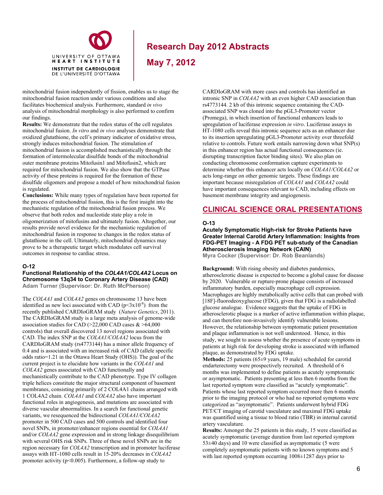

**May 7, 2012**

mitochondrial fusion independently of fission, enables us to stage the mitochondrial fusion reaction under various conditions and also facilitates biochemical analysis. Furthermore, standard *in vivo* analysis of mitochondrial morphology is also performed to confirm our findings.

**Results:** We demonstrate that the redox status of the cell regulates mitochondrial fusion. *In vitro* and *in vivo* analyses demonstrate that oxidized glutathione, the cell's primary indicator of oxidative stress, strongly induces mitochondrial fusion. The stimulation of mitochondrial fusion is accomplished mechanistically through the formation of intermolecular disulfide bonds of the mitochondrial outer membrane proteins Mitofusin1 and Mitofusin2, which are required for mitochondrial fusion. We also show that the GTPase activity of these proteins is required for the formation of these disulfide oligomers and propose a model of how mitochondrial fusion is regulated.

**Conclusions:** While many types of regulation have been reported for the process of mitochondrial fission, this is the first insight into the mechanistic regulation of the mitochondrial fusion process. We observe that both redox and nucleotide state play a role in oligomerization of mitofusins and ultimately fusion. Altogether, our results provide novel evidence for the mechanistic regulation of mitochondrial fusion in response to changes in the redox status of glutathione in the cell. Ultimately, mitochondrial dynamics may prove to be a therapeutic target which modulates cell survival outcomes in response to cardiac stress.

#### **O-12**

#### **Functional Relationship of the** *COL4A1/COL4A2* **Locus on Chromosome 13q34 to Coronary Artery Disease (CAD) Adam Turner (Supervisor: Dr. Ruth McPherson)**

The *COL4A1* and *COL4A2* genes on chromosome 13 have been identified as new loci associated with CAD ( $p \le 3x10^{-8}$ ) from the recently published CARDIoGRAM study (*Nature Genetics*, 2011). The CARDIoGRAM study is a large meta analysis of genome-wide association studies for CAD ( $>22,000$  CAD cases  $&>64,000$ controls) that overall discovered 13 novel regions associated with CAD. The index SNP at the *COL4A1/COL4A2* locus from the CARDIoGRAM study (rs4773144) has a minor allele frequency of 0.4 and is associated with an increased risk of CAD (allele specific odds ratio=1.21 in the Ottawa Heart Study (OHS)). The goal of the current project is to elucidate how variants in the *COL4A1* and *COL4A2* genes associated with CAD functionally and mechanistically contribute to the CAD phenotype. Type IV collagen triple helices constitute the major structural component of basement membranes, consisting primarily of 2 COL4A1 chains arranged with 1 COL4A2 chain. *COL4A1* and *COL4A2* also have important functional roles in angiogenesis, and mutations are associated with diverse vascular abnormalities. In a search for functional genetic variants, we resequenced the bidirectional *COL4A1/COL4A2*  promoter in 500 CAD cases and 500 controls and identified four novel SNPs, in promoter/enhancer regions essential for *COL4A1*  and/or *COL4A2* gene expression and in strong linkage disequilibrium with several OHS risk SNPs. Three of these novel SNPs are in the region necessary for *COL4A2* transcription and in promoter luciferase assays with HT-1080 cells result in 15-20% decreases in *COL4A2* promoter activity ( $p<0.005$ ). Furthermore, a follow-up study to

CARDIoGRAM with more cases and controls has identified an intronic SNP in *COL4A2* with an even higher CAD association than rs4773144. 2 kb of this intronic sequence containing the CADassociated SNP was cloned into the pGL3-Promoter vector (Promega), in which insertion of functional enhancers leads to upregulation of luciferase expression *in vitro*. Luciferase assays in HT-1080 cells reveal this intronic sequence acts as an enhancer due to its insertion upregulating pGL3-Promoter activity over threefold relative to controls. Future work entails narrowing down what SNP(s) in this enhancer region has actual functional consequences (ie. disrupting transcription factor binding sites). We also plan on conducting chromosome conformation capture experiments to determine whether this enhancer acts locally on *COL4A1/COL4A2* or acts long-range on other genomic targets. These findings are important because misregulation of *COL4A1* and *COL4A2* could have important consequences relevant to CAD, including effects on basement membrane integrity and angiogenesis.

# **CLINICAL SCIENCE ORAL PRESENTATIONS**

#### **O-13**

### **Acutely Symptomatic High-risk for Stroke Patients have Greater Internal Carotid Artery Inflammation: Insights from FDG-PET Imaging - A FDG PET sub-study of the Canadian Atherosclerosis Imaging Network (CAIN)**

**Myra Cocker (Supervisor: Dr. Rob Beanlands)** 

**Background:** With rising obesity and diabetes pandemics, atherosclerotic disease is expected to become a global cause for disease by 2020. Vulnerable or rupture-prone plaque consists of increased inflammatory burden, especially macrophage cell expression. Macrophages are highly metabolically active cells that can probed with [18F]-fluorodeoxyglucose (FDG), given that FDG is a radiolabelled glucose analogue. Evidence suggests that the uptake of FDG in atherosclerotic plaque is a marker of active inflammation within plaque, and can therefore non-invasively identify vulnerable lesions. However, the relationship between symptomatic patient presentation and plaque inflammation is not well understood. Hence, in this study, we sought to assess whether the presence of acute symptoms in patients at high risk for developing stroke is associated with inflamed plaque, as demonstrated by FDG uptake.

**Methods:** 25 patients (65±9 years, 19 male) scheduled for carotid endarterectomy were prospectively recruited. A threshold of 6 months was implemented to define patients as acutely symptomatic or asymptomatic. Patients presenting at less then 6 months from the last reported symptom were classified as "acutely symptomatic". Patients whose last reported symptom occurred more then 6 months prior to the imaging protocol or who had no reported symptoms were categorized as "asymptomatic". Patients underwent hybrid FDG PET/CT imaging of carotid vasculature and maximal FDG uptake was quantified using a tissue to blood ratio (TBR) in internal carotid artery vasculature.

**Results:** Amongst the 25 patients in this study, 15 were classified as acutely symptomatic (average duration from last reported symptom 53±40 days) and 10 were classified as asymptomatic (5 were completely asymptomatic patients with no known symptoms and 5 with last reported symptom occurring  $1008 \pm 1287$  days prior to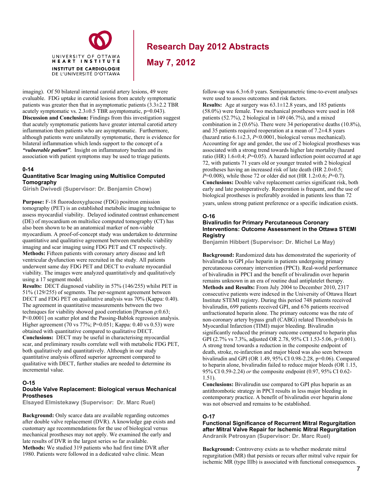

**May 7, 2012**

imaging). Of 50 bilateral internal carotid artery lesions, 49 were evaluable. FDG uptake in carotid lesions from acutely symptomatic patients was greater then that in asymptomatic patients  $(3.3\pm2.2 \text{ TBR})$ acutely symptomatic vs.  $2.3 \pm 0.5$  TBR asymptomatic, p=0.043). **Discussion and Conclusion:** Findings from this investigation suggest that acutely symptomatic patients have greater internal carotid artery inflammation then patients who are asymptomatic. Furthermore, although patients were unilaterally symptomatic, there is evidence for bilateral inflammation which lends support to the concept of a *"vulnerable patient"*. Insight on inflammatory burden and its association with patient symptoms may be used to triage patients.

#### **0-14**

#### **Quantitative Scar Imaging using Multislice Computed Tomography**

**Girish Dwivedi (Supervisor: Dr. Benjamin Chow)** 

**Purpose:** F-18 fluorodeoxyglucose (FDG) positron emission tomography (PET) is an established metabolic imaging technique to assess myocardial viability. Delayed iodinated contrast enhancement (DE) of myocardium on multislice computed tomography (CT) has also been shown to be an anatomical marker of non-viable myocardium. A proof-of-concept study was undertaken to determine quantitative and qualitative agreement between metabolic viability imaging and scar imaging using FDG PET and CT respectively. **Methods:** Fifteen patients with coronary artery disease and left ventricular dysfunction were recruited in the study. All patients underwent same day FDG PET and DECT to evaluate myocardial viability. The images were analyzed quantitatively and qualitatively using a 17 segment model.

**Results:** DECT diagnosed viability in 57% (146/255) whilst PET in 51% (129/255) of segments. The per-segment agreement between DECT and FDG PET on qualitative analysis was 70% (Kappa: 0.40). The agreement in quantitative measurements between the two techniques for viability showed good correlation [Pearson ρ:0.63; P<0.0001] on scatter plot and the Passing-Bablok regression analysis. Higher agreement (70 vs 77%; P=0.051; Kappa: 0.40 vs 0.53) were obtained with quantitative compared to qualitative DECT. **Conclusions:** DECT may be useful in characterising myocardial scar, and preliminary results correlate well with metabolic FDG PET, both qualitatively and quantitatively. Although in our study quantitative analysis offered superior agreement compared to qualitative with DECT, further studies are needed to determine its incremental value.

#### **O-15**

#### **Double Valve Replacement: Biological versus Mechanical Prostheses**

**Elsayed Elmistekawy (Supervisor: Dr. Marc Ruel)** 

**Background:** Only scarce data are available regarding outcomes after double valve replacement (DVR). A knowledge gap exists and customary age recommendations for the use of biological versus mechanical prostheses may not apply. We examined the early and late results of DVR in the largest series so far available. **Methods:** We studied 319 patients who had first time DVR after 1980. Patients were followed in a dedicated valve clinic. Mean

follow-up was 6.3±6.0 years. Semiparametric time-to-event analyses were used to assess outcomes and risk factors.

**Results:** Age at surgery was 63.1±12.8 years, and 185 patients (58.0%) were female. Two mechanical prostheses were used in 168 patients  $(52.7\%)$ , 2 biological in 149  $(46.7\%)$ , and a mixed combination in 2 (0.6%). There were 34 perioperative deaths (10.8%), and 35 patients required reoperation at a mean of 7.2±4.8 years (hazard ratio 6.1±2.3, *P*<0.0001, biological versus mechanical). Accounting for age and gender, the use of 2 biological prostheses was associated with a strong trend towards higher late mortality (hazard ratio (HR)  $1.6\pm0.4$ ; *P*=0.05). A hazard inflection point occurred at age 72, with patients 71 years old or younger treated with 2 biological prostheses having an increased risk of late death (HR 2.0±0.5; *P*=0.008), while those 72 or older did not (HR 1.2±0.6; *P*=0.7). **Conclusions:** Double valve replacement carries significant risk, both early and late postoperatively. Reoperation is frequent, and the use of biological prostheses is preferably avoided in patients less than 72 years, unless strong patient preference or a specific indication exists.

#### **O-16**

#### **Bivalirudin for Primary Percutaneous Coronary Interventions: Outcome Assessment in the Ottawa STEMI Registry**

**Benjamin Hibbert (Supervisor: Dr. Michel Le May)**

**Background:** Randomized data has demonstrated the superiority of bivalirudin to GPI *plus* heparin in patients undergoing primary percutaneous coronary intervention (PPCI). Real-world performance of bivalirudin in PPCI and the benefit of bivalirudin over heparin remains unknown in an era of routine dual antiplatelet therapy. **Methods and Results:** From July 2004 to December 2010, 2317 consecutive patients were indexed in the University of Ottawa Heart Institute STEMI registry. During this period 748 patients received bivalirudin, 699 patients received GPI, and 676 patients received unfractionated heparin alone. The primary outcome was the rate of non-coronary artery bypass graft (CABG) related Thrombolysis In Myocardial Infarction (TIMI) major bleeding. Bivalirudin significantly reduced the primary outcome compared to heparin plus GPI (2.7% vs 7.3%, adjusted OR 2.78, 95% CI 1.53-5.06, p<0.001). A strong trend towards a reduction in the composite endpoint of death, stroke, re-infarction and major bleed was also seen between bivalirudin and GPI (OR 1.49, 95% CI 0.98-2.28, p=0.06). Compared to heparin alone, bivalirudin failed to reduce major bleeds (OR 1.15, 95% CI 0.59-2.24) *or* the composite endpoint (0.97, 95% CI 0.62- 1.51).

**Conclusions:** Bivalirudin use compared to GPI plus heparin as an antithrombotic strategy in PPCI results in less major bleeding in contemporary practice. A benefit of bivalirudin over heparin alone was not observed and remains to be established.

#### **O-17**

#### **Functional Significance of Recurrent Mitral Regurgitation after Mitral Valve Repair for Ischemic Mitral Regurgitation Andranik Petrosyan (Supervisor: Dr. Marc Ruel)**

**Background:** Controversy exists as to whether moderate mitral regurgitation (MR) that persists or recurs after mitral valve repair for ischemic MR (type IIIb) is associated with functional consequences.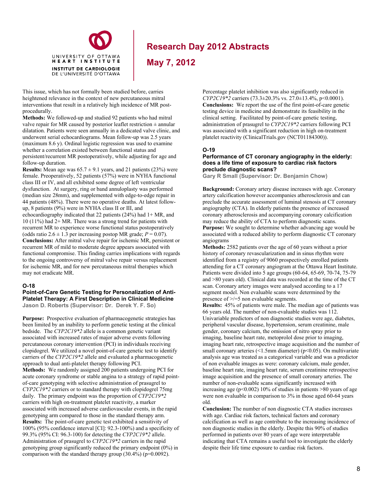

**May 7, 2012**

This issue, which has not formally been studied before, carries heightened relevance in the context of new percutaneous mitral interventions that result in a relatively high incidence of MR postprocedurally.

**Methods:** We followed-up and studied 92 patients who had mitral valve repair for MR caused by posterior leaflet restriction  $\pm$  annular dilatation. Patients were seen annually in a dedicated valve clinic, and underwent serial echocardiograms. Mean follow-up was 2.5 years (maximum 8.6 y). Ordinal logistic regression was used to examine whether a correlation existed between functional status and persistent/recurrent MR postoperatively, while adjusting for age and follow-up duration.

**Results:** Mean age was  $65.7 \pm 9.1$  years, and 21 patients (23%) were female. Preoperatively, 52 patients (57%) were in NYHA functional class III or IV, and all exhibited some degree of left ventricular dysfunction. At surgery, ring or band annuloplasty was performed (median size 28mm), and supplemented with edge-to-edge repair in 44 patients (48%). There were no operative deaths. At latest followup, 8 patients (9%) were in NYHA class II or III, and echocardiography indicated that 22 patients (24%) had 1+ MR, and 10 (11%) had 2+ MR. There was a strong trend for patients with recurrent MR to experience worse functional status postoperatively (odds ratio  $2.6 \pm 1.3$  per increasing postop MR grade;  $P = 0.07$ ). **Conclusions:** After mitral valve repair for ischemic MR, persistent or recurrent MR of mild to moderate degree appears associated with functional compromise. This finding carries implications with regards to the ongoing controversy of mitral valve repair versus replacement for ischemic MR, and for new percutaneous mitral therapies which may not eradicate MR.

#### **O-18**

**Point-of-Care Genetic Testing for Personalization of Anti-Platelet Therapy: A First Description in Clinical Medicine Jason D. Roberts (Supervisor: Dr. Derek Y. F. So)** 

**Purpose:** Prospective evaluation of pharmacogenetic strategies has been limited by an inability to perform genetic testing at the clinical bedside. The *CYP2C19\*2* allele is a common genetic variant associated with increased rates of major adverse events following percutaneous coronary intervention (PCI) in individuals receiving clopidogrel. We utilized a novel point-of-care genetic test to identify carriers of the *CYP2C19\*2* allele and evaluated a pharmacogenetic approach to dual anti-platelet therapy following PCI. **Methods:** We randomly assigned 200 patients undergoing PCI for acute coronary syndrome or stable angina to a strategy of rapid pointof-care genotyping with selective administration of prasugrel to *CYP2C19\*2* carriers or to standard therapy with clopidogrel 75mg daily. The primary endpoint was the proportion of *CYP2C19\*2* carriers with high on-treatment platelet reactivity, a marker associated with increased adverse cardiovascular events, in the rapid genotyping arm compared to those in the standard therapy arm. **Results:** The point-of-care genetic test exhibited a sensitivity of 100% (95% confidence interval [CI]: 92.3-100%) and a specificity of 99.3% (95% CI: 96.3-100) for detecting the *CYP2C19\*2* allele. Administration of prasugrel to *CYP2C19\*2* carriers in the rapid genotyping group significantly reduced the primary endpoint (0%) in comparison with the standard therapy group (30.4%) (p=0.0092).

Percentage platelet inhibition was also significantly reduced in *CYP2C19\*2* carriers (73.3±20.3% vs. 27.0±13.4%, p<0.0001). **Conclusions:** We report the use of the first point-of-care genetic testing device in medicine and demonstrate its feasibility in the clinical setting. Facilitated by point-of-care genetic testing, administration of prasugrel to *CYP2C19\*2* carriers following PCI was associated with a significant reduction in high on-treatment platelet reactivity (ClinicalTrials.gov (NCT01184300)).

### **O-19**

#### **Performance of CT coronary angiography in the elderly: does a life time of exposure to cardiac risk factors preclude diagnostic scans?**

**Gary R Small (Supervisor: Dr. Benjamin Chow)**

**Background:** Coronary artery disease increases with age. Coronary artery calcification however accompanies atherosclerosis and can preclude the accurate assessment of luminal stenosis at CT coronary angiography (CTA). In elderly patients the presence of increased coronary atherosclerosis and accompanying coronary calcification may reduce the ability of CTA to perform diagnostic scans. **Purpose:** We sought to determine whether advancing age would be associated with a reduced ability to perform diagnostic CT coronary angiograms

**Methods:** 2582 patients over the age of 60 years without a prior history of coronary revascularization and in sinus rhythm were identified from a registry of 9060 prospectively enrolled patients attending for a CT coronary angiogram at the Ottawa Heart Institute. Patients were divided into 5 age groups (60-64, 65-69, 70-74, 75-79 and >80 years old). Clinical data was recorded at the time of the CT scan. Coronary artery images were analysed according to a 17 segment model. Non evaluable scans were determined by the presence of >/=5 non evaluable segments.

**Results:** 45% of patients were male. The median age of patients was 66 years old. The number of non-evaluable studies was 112. Univariable predictors of non diagnostic studies were age, diabetes, peripheral vascular disease, hypertension, serum creatinine, male gender, coronary calcium, the omission of nitro spray prior to imaging, baseline heart rate, metoprolol dose prior to imaging, imaging heart rate, retrospective image acquisition and the number of small coronary arteries (<1.5mm diameter) (p<0.05). On multivariate analysis age was treated as a categorical variable and was a predictor of non evaluable images as were: coronary calcium, male gender, baseline heart rate, imaging heart rate, serum creatinine retrospective image acquisition and the presence of small coronary arteries. The number of non-evaluable scans significantly increased with increasing age ( $p<0.002$ ) 10% of studies in patients >80 years of age were non evaluable in comparison to 3% in those aged 60-64 years old.

**Conclusion:** The number of non diagnostic CTA studies increases with age. Cardiac risk factors, technical factors and coronary calcification as well as age contribute to the increasing incidence of non diagnostic studies in the elderly. Despite this 90% of studies performed in patients over 80 years of age were interpretable indicating that CTA remains a useful tool to investigate the elderly despite their life time exposure to cardiac risk factors.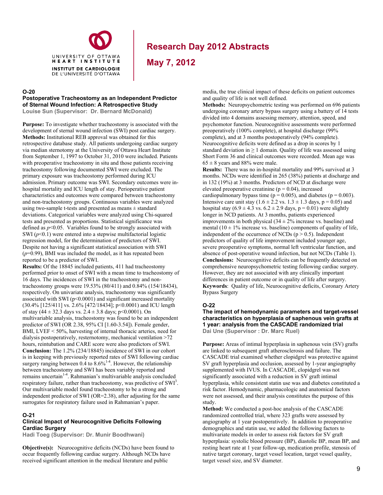

**May 7, 2012**

#### **O-20**

#### **Postoperative Tracheostomy as an Independent Predictor of Sternal Wound Infection: A Retrospective Study**

**Louise Sun (Supervisor: Dr. Bernard McDonald)** 

**Purpose:** To investigate whether tracheostomy is associated with the development of sternal wound infection (SWI) post cardiac surgery. **Methods:** Institutional REB approval was obtained for this retrospective database study. All patients undergoing cardiac surgery via median sternotomy at the University of Ottawa Heart Institute from September 1, 1997 to October 31, 2010 were included. Patients with preoperative tracheostomy in situ and those patients receiving tracheostomy following documented SWI were excluded. The primary exposure was tracheostomy performed during ICU admission. Primary outcome was SWI. Secondary outcomes were inhospital mortality and ICU length of stay. Perioperative patient characteristics and outcomes were compared between tracheostomy and non-tracheostomy groups. Continuous variables were analyzed using two-sample t-tests and presented as means  $\pm$  standard deviations. Categorical variables were analyzed using Chi-squared tests and presented as proportions. Statistical significance was defined as  $p<0.05$ . Variables found to be strongly associated with SWI  $(p<0.1)$  were entered into a stepwise multifactorial logistic regression model, for the determination of predictors of SWI. Despite not having a significant statistical association with SWI  $(p=0.99)$ , BMI was included the model, as it has repeated been reported to be a predictor of SWI.

**Results:** Of the 18845 included patients, 411 had tracheostomy performed prior to onset of SWI with a mean time to tracheostomy of 16 days. The incidences of SWI in the tracheostomy and nontracheostomy groups were 19.53% (80/411) and 0.84% (154/18434), respectively. On univariate analysis, tracheostomy was significantly associated with SWI (p<0.0001) and significant increased mortality (30.4% [125/411] vs. 2.6% [472/18434]; p<0.0001) and ICU length of stay  $(44 \pm 32.3 \text{ days vs. } 2.4 \pm 3.8 \text{ days}; \text{ p} < 0.0001)$ . On multivariable analysis, tracheostomy was found to be an independent predictor of SWI (OR 2.38, 95% CI [1.60-3.54]). Female gender, BMI, LVEF < 50%, harvesting of internal thoracic arteries, need for dialysis postoperatively, resternotomy, mechanical ventilation >72 hours, reintubation and CARE score were also predictors of SWI. **Conclusion:** The 1.2% (234/18845) incidence of SWI in our cohort is in keeping with previously reported rates of SWI following cardiac surgery ranging between  $0.4$  to  $8.6\%$ <sup>1-4</sup>. However, the relationship between tracheostomy and SWI has been variably reported and remains uncertain<sup>1-4</sup>. Rahmanian's multivariable analysis concluded respiratory failure, rather than tracheostomy, was predictive of  $SWI<sup>3</sup>$ . Our multivariable model found tracheostomy to be a strong and independent predictor of SWI (OR=2.38), after adjusting for the same surrogates for respiratory failure used in Rahmanian's paper.

#### **O-21**

#### **Clinical Impact of Neurocognitive Deficits Following Cardiac Surgery**

**Hadi Toeg (Supervisor: Dr. Munir Boodhwani)** 

**Objective(s):** Neurocognitive deficits (NCDs) have been found to occur frequently following cardiac surgery. Although NCDs have received significant attention in the medical literature and public

media, the true clinical impact of these deficits on patient outcomes and quality of life is not well defined.

**Methods:** Neuropsychometric testing was performed on 696 patients undergoing coronary artery bypass surgery using a battery of 14 tests divided into 4 domains assessing memory, attention, speed, and psychomotor function. Neurocognitive assessments were performed preoperatively (100% complete), at hospital discharge (99% complete), and at 3 months postoperatively (94% complete). Neurocognitive deficits were defined as a drop in scores by 1 standard deviation in  $\geq 1$  domain. Quality of life was assessed using Short Form 36 and clinical outcomes were recorded. Mean age was  $65 \pm 8$  years and 88% were male.

**Results:** There was no in-hospital mortality and 99% survived at 3 months. NCDs were identified in 265 (38%) patients at discharge and in 132 (19%) at 3 months. Predictors of NCD at discharge were elevated preoperative creatinine ( $p = 0.04$ ), increased cardiopulmonary bypass time ( $p = 0.005$ ), and diabetes ( $p = 0.003$ ). Intensive care unit stay  $(1.6 \pm 2.2 \text{ vs. } 1.3 \pm 1.3 \text{ days}, p = 0.05)$  and hospital stay  $(6.9 \pm 4.3 \text{ vs. } 6.2 \pm 2.9 \text{ days}, p = 0.01)$  were slightly longer in NCD patients. At 3 months, patients experienced improvements in both physical  $(34 \pm 2\%$  increase vs. baseline) and mental (10  $\pm$  1% increase vs. baseline) components of quality of life, independent of the occurrence of NCDs ( $p > 0.5$ ). Independent predictors of quality of life improvement included younger age, severe preoperative symptoms, normal left ventricular function, and absence of post-operative wound infection, but not NCDs (Table 1). **Conclusions:** Neurocognitive deficits can be frequently detected on comprehensive neuropsychometric testing following cardiac surgery. However, they are not associated with any clinically important differences in patient outcome or in quality of life after surgery. **Keywords**: Quality of life, Neurocognitive deficits, Coronary Artery Bypass Surgery

### **O-22**

**The impact of hemodynamic parameters and target-vessel characteristics on hyperplasia of saphenous vein grafts at 1 year: analysis from the CASCADE randomized trial Dai Une (Supervisor : Dr. Marc Ruel)** 

**Purpose:** Areas of intimal hyperplasia in saphenous vein (SV) grafts are linked to subsequent graft atherosclerosis and failure. The CASCADE trial examined whether clopidgrel was protective against SV graft hyperplasia and occlusion, assessed by 1-year angiography supplemented with IVUS. In CASCADE, clopidgrel was not significantly associated with a reduction in SV graft intimal hyperplasia, while consistent statin use was and diabetes constituted a risk factor. Hemodynamic, pharmacologic and anatomical factors were not assessed, and their analysis constitutes the purpose of this study.

**Method:** We conducted a post-hoc analysis of the CASCADE randomized controlled trial, where 323 grafts were assessed by angiography at 1 year postoperatively. In addition to preoperative demographics and statin use, we added the following factors to multivariate models in order to assess risk factors for SV graft hyperplasia: systolic blood pressure (BP), diastolic BP, mean BP, and resting heart rate at 1 year follow-up, medication profile, stenosis of native target coronary, target vessel location, target vessel quality, target vessel size, and SV diameter.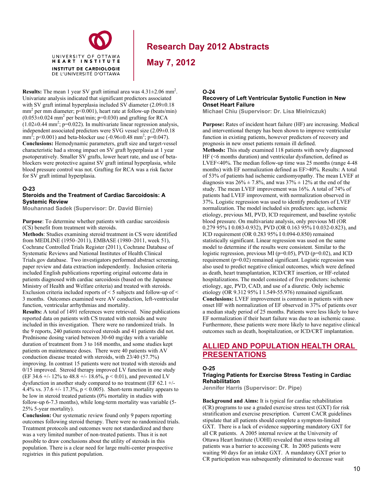

**May 7, 2012**

**Results:** The mean 1 year SV graft intimal area was  $4.31 \pm 2.06$  mm<sup>2</sup>. Univariate analysis indicated that significant predictors associated with SV graft intimal hyperplasia included SV diameter  $(2.09\pm0.18)$  $mm<sup>2</sup>$  per mm diameter; p<0.001), heart rate at follow-up (beats/min)  $(0.053 \pm 0.024$  mm<sup>2</sup> per beat/min; p=0.030) and grafting for RCA  $(1.02 \pm 0.44 \text{ mm}^2; \text{p=0.022})$ . In multivariate linear regression analysis, independent associated predictors were SVG vessel size (2.09±0.18 mm<sup>2</sup>; p<0.001) and beta-blocker use  $(-0.96 \pm 0.48 \text{ mm}^2)$ ; p=0.047). **Conclusions:** Hemodynamic parameters, graft size and target-vessel characteristic had a strong impact on SV graft hyperplasia at 1 year psotoperatively. Smaller SV grafts, lower heart rate, and use of betablockers were protective against SV graft intimal hyperplasia, while blood pressure control was not. Grafting for RCA was a risk factor for SV graft intimal hyperplasia.

UNIVERSITY OF OTTAWA HEART INSTITUTE **INSTITUT DE CARDIOLOGIE** DE L'UNIVERSITÉ D'OTTAWA

#### **O-23**

#### **Steroids and the Treatment of Cardiac Sarcoidosis: A Systemic Review**

**Mouhannad Sadek (Supervisor: Dr. David Birnie)** 

**Purpose**: To determine whether patients with cardiac sarcoidosis (CS) benefit from treatment with steroids.

**Methods**: Studies examining steroid treatment in CS were identified from MEDLINE (1950–2011), EMBASE (1980–2011, week 51), Cochrane Controlled Trials Register (2011), Cochrane Database of Systematic Reviews and National Institutes of Health Clinical Trials.gov database. Two investigators performed abstract screening, paper review and data extraction independently. Inclusion criteria included English publications reporting original outcome data in patients diagnosed with cardiac sarcoidosis (based on the Japanese Ministry of Health and Welfare criteria) and treated with steroids. Exclusion criteria included reports of < 5 subjects and follow-up of < 3 months. Outcomes examined were AV conduction, left-ventricular function, ventricular arrhythmias and mortality.

**Results:** A total of 1491 references were retrieved. Nine publications reported data on patients with CS treated with steroids and were included in this investigation. There were no randomized trials. In the 9 reports, 240 patients received steroids and 41 patients did not. Prednisone dosing varied between 30-60 mg/day with a variable duration of treatment from 3 to 168 months, and some studies kept patients on maintenance doses. There were 40 patients with AV conduction disease treated with steroids, with 23/40 (57.7%) improving. In contrast 15 patients were not treated with steroids and 0/15 improved. Steroid therapy improved LV function in one study (EF 34.6 +/- 12% to 48.8 +/- 18.6%,  $p < 0.01$ ), and prevented LV dysfunction in another study compared to no treatment (EF 62.1 +/- 4.4% vs. 37.6 +/- 17.3%,  $p < 0.005$ ). Short-term mortality appears to be low in steroid treated patients (0% mortality in studies with follow-up 6-7.3 months), while long-term mortality was variable (5- 25% 5-year mortality).

**Conclusion:** Our systematic review found only 9 papers reporting outcomes following steroid therapy. There were no randomized trials. Treatment protocols and outcomes were not standardized and there was a very limited number of non-treated patients. Thus it is not possible to draw conclusions about the utility of steroids in this population. There is a clear need for large multi-center prospective registries in this patient population.

#### **O-24 Recovery of Left Ventricular Systolic Function in New Onset Heart Failure**

**Michael Chiu (Supervisor: Dr. Lisa Mielniczuk)** 

**Purpose:** Rates of incident heart failure (HF) are increasing. Medical and interventional therapy has been shown to improve ventricular function in existing patients, however predictors of recovery and prognosis in new onset patients remain ill defined. **Methods:** This study examined 118 patients with newly diagnosed HF (<6 months duration) and ventricular dysfunction, defined as LVEF<40%. The median follow-up time was 25 months (range 4-48 months) with EF normalization defined as EF>40%. Results: A total of 53% of patients had ischemic cardiomyopathy. The mean LVEF at diagnosis was  $26\% \pm 7.8\%$ , and was  $37\% \pm 12\%$  at the end of the study. The mean LVEF improvement was 16%. A total of 74% of patients had LVEF improvement, with normalization observed in 37%. Logistic regression was used to identify predictors of LVEF normalization. The model included six predictors: age, ischemic etiology, previous MI, PVD, ICD requirement, and baseline systolic blood pressure. On multivariate analysis, only previous MI (OR 0.279 95% I 0.083-0.932), PVD (OR 0.163 95% I 0.032-0.823), and ICD requirement (OR 0.283 95% I 0.094-0.850) remained statistically significant. Linear regression was used on the same model to determine if the results were consistent. Similar to the logistic regression, previous MI (p=0.05), PVD (p=0.02), and ICD requirement (p=0.02) remained significant. Logistic regression was also used to predict negative clinical outcomes, which were defined as death, heart transplantation, ICD/CRT insertion, or HF-related hospitalizations. The model consisted of five predictors: ischemic etiology, age, PVD, CAD, and use of a diuretic. Only ischemic etiology (OR 9.312 95% I 1.549-55.976) remained significant. **Conclusions:** LVEF improvement is common in patients with new onset HF with normalization of EF observed in 37% of patients over a median study period of 25 months. Patients were less likely to have EF normalization if their heart failure was due to an ischemic cause. Furthermore, these patients were more likely to have negative clinical outcomes such as death, hospitalization, or ICD/CRT implantation.

### **ALLIED AND POPULATION HEALTH ORAL PRESENTATIONS**

#### **O-25**

#### **Triaging Patients for Exercise Stress Testing in Cardiac Rehabilitation**

**Jennifer Harris (Supervisor: Dr. Pipe)** 

**Background and Aims:** It is typical for cardiac rehabilitation (CR) programs to use a graded exercise stress test (GXT) for risk stratification and exercise prescription. Current CACR guidelines stipulate that all patients should complete a symptom-limited GXT. There is a lack of evidence supporting mandatory GXT for all CR patients. A 2005 internal review at the University of Ottawa Heart Institute (UOHI) revealed that stress testing all patients was a barrier to accessing CR. In 2005 patients were waiting 90 days for an intake GXT. A mandatory GXT prior to CR participation was subsequently eliminated to decrease wait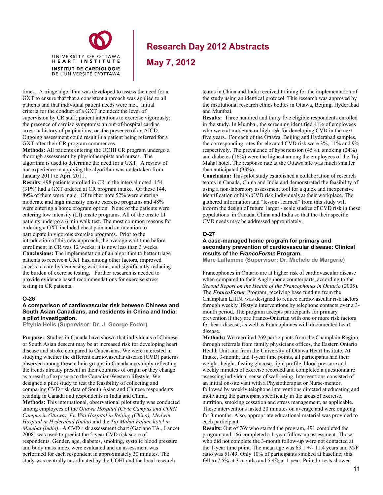**May 7, 2012**

times. A triage algorithm was developed to assess the need for a GXT to ensure that that a consistent approach was applied to all patients and that individual patient needs were met. Initial criteria for the conduct of a GXT included: the level of supervision by CR staff; patient intentions to exercise vigorously; the presence of cardiac symptoms; an out-of-hospital cardiac arrest; a history of palpitations; or, the presence of an AICD. Ongoing assessment could result in a patient being referred for a GXT after their CR program commences.

UNIVERSITY OF OTTAWA HEART INSTITUTE **INSTITUT DE CARDIOLOGIE** DE L'UNIVERSITÉ D'OTTAWA

**Methods:** All patients entering the UOHI CR program undergo a thorough assessment by physiotherapists and nurses. The algorithm is used to determine the need for a GXT. A review of our experience in applying the algorithm was undertaken from January 2011 to April 2011.

**Results**: 498 patients enrolled in CR in the interval noted. 154 (31%) had a GXT ordered at CR program intake. Of these 144, 89% of them were male. Of further note 52% were entering moderate and high intensity onsite exercise programs and 48% were entering a home program option. None of the patients were entering low intensity (LI) onsite programs. All of the onsite LI patients undergo a 6 min walk test. The most common reasons for ordering a GXT included chest pain and an intention to participate in vigorous exercise programs. Prior to the introduction of this new approach, the average wait time before enrollment in CR was 12 weeks; it is now less than 3 weeks. **Conclusions:** The implementation of an algorithm to better triage patients to receive a GXT has, among other factors, improved access to care by decreasing wait times and significantly reducing the burden of exercise testing. Further research is needed to provide evidence based recommendations for exercise stress testing in CR patients.

#### **O-26**

#### **A comparison of cardiovascular risk between Chinese and South Asian Canadians, and residents in China and India: a pilot investigation.**

**Eftyhia Helis (Supervisor: Dr. J. George Fodor)** 

**Purpose:** Studies in Canada have shown that individuals of Chinese or South Asian descent may be at increased risk for developing heart disease and stroke compared to Caucasians. We were interested in studying whether the different cardiovascular disease (CVD) patterns observed among these ethnic groups in Canada are simply reflecting the trends already present in their countries of origin or they change as a result of exposure to the Canadian/Western lifestyle. We designed a pilot study to test the feasibility of collecting and comparing CVD risk data of South Asian and Chinese respondents residing in Canada and respondents in India and China. **Methods:** This international, observational pilot study was conducted among employees of the *Ottawa Hospital (Civic Campus and UOHI Campus in Ottawa), Fu Wai Hospital in Beijing (China), Medwin Hospital in Hyderabad (India)* and the *Taj Mahal Palace hotel in Mumbai (India).* A CVD risk assessment chart (Gaziano TA*.*, Lancet 2008) was used to predict the 5-year CVD risk score of respondents. Gender, age, diabetes, smoking, systolic blood pressure and body mass index were evaluated and an assessment was performed for each respondent in approximately 30 minutes. The study was centrally coordinated by the UOHI and the local research

teams in China and India received training for the implementation of the study using an identical protocol. This research was approved by the institutional research ethics bodies in Ottawa, Beijing, Hyderabad and Mumbai.

**Results:** Three hundred and thirty five eligible respondents enrolled in the study. In Mumbai, the screening identified 41% of employees who were at moderate or high risk for developing CVD in the next five years. For each of the Ottawa, Beijing and Hyderabad samples, the corresponding rates for elevated CVD risk were 3%, 11% and 9% respectively. The prevalence of hypertension (45%), smoking (24%) and diabetes (16%) were the highest among the employees of the Taj Mahal hotel. The response rate at the Ottawa site was much smaller than anticipated (33%).

**Conclusion:** This pilot study established a collaboration of research teams in Canada, China and India and demonstrated the feasibility of using a non-laboratory assessment tool for a quick and inexpensive identification of high CVD risk individuals at their workplace. The gathered information and "lessons learned" from this study will inform the design of future larger - scale studies of CVD risk in these populations in Canada, China and India so that the their specific CVD needs may be addressed appropriately.

#### **O-27**

#### **A case-managed home program for primary and secondary prevention of cardiovascular disease: Clinical results of the** *FrancoForme* **Program.**

**Marc Laflamme (Supervisor: Dr. Michele de Margerie)**

Francophones in Ontario are at higher risk of cardiovascular disease when compared to their Anglophone counterparts, according to the *Second Report on the Health of the Francophones in Ontario* (2005). The *FrancoForme* Program, receiving base funding from the Champlain LHIN, was designed to reduce cardiovascular risk factors through weekly lifestyle interventions by telephone contacts over a 3 month period. The program accepts participants for primary prevention if they are Franco-Ontarian with one or more risk factors for heart disease, as well as Francophones with documented heart disease.

**Methods:** We recruited 769 participants from the Champlain Region through referrals from family physicians offices, the Eastern Ontario Health Unit and from the University of Ottawa Heart Institute. At Intake, 3-month, and 1-year time points, all participants had their weight, height. fasting glucose, lipid profile, blood pressure and weekly minutes of exercise recorded and completed a questionnaire assessing individual sense of well-being. Interventions consisted of an initial on-site visit with a Physiotherapist or Nurse-mentor, followed by weekly telephone interventions directed at educating and motivating the participant specifically in the areas of exercise, nutrition, smoking cessation and stress management, as applicable. These interventions lasted 20 minutes on average and were ongoing for 3 months. Also, appropriate educational material was provided to each participant.

**Results:** Out of 769 who started the program, 491 completed the program and 166 completed a 1-year follow-up assessment. Those who did not complete the 3-month follow-up were not contacted at the 1-year time point. The mean age was  $63.1 +/- 11.4$  years and M/F ratio was 51/49. Only 10% of participants smoked at baseline; this fell to 7.5% at 3 months and 5.4% at 1 year. Paired *t*-tests showed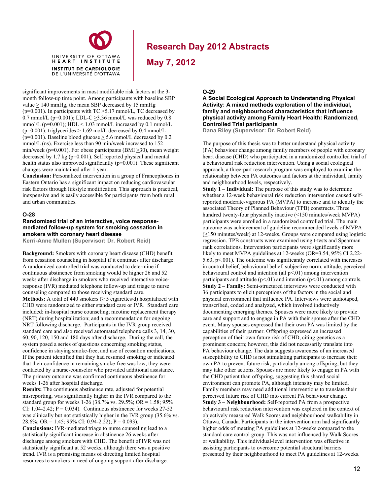

**May 7, 2012**

significant improvements in most modifiable risk factors at the 3 month follow-up time point. Among participants with baseline SBP value  $\geq$  140 mmHg, the mean SBP decreased by 15 mmHg ( $p=0.001$ ). In participants with TC  $\geq 5.17$  mmol/L, TC decreased by 0.7 mmol/L (p=0.001); LDL-C  $\geq$ 3.36 mmol/L was reduced by 0.8 mmol/L ( $p=0.001$ ); HDL  $\leq 1.03$  mmol/L increased by 0.1 mmol/L ( $p=0.001$ ); triglycerides  $> 1.69$  mol/L decreased by 0.4 mmol/L (p=0.001). Baseline blood glucose  $\geq$  5.6 mmol/L decreased by 0.2 mmol/L (ns). Exercise less than 90 min/week increased to 152 min/week (p=0.001). For obese participants (BMI >30), mean weight decreased by 1.7 kg (p=0.001). Self reported physical and mental health status also improved significantly (p=0.001). These significant changes were maintained after 1 year.

UNIVERSITY OF OTTAWA HEART INSTITUTE **INSTITUT DE CARDIOLOGIE** DE L'UNIVERSITÉ D'OTTAWA

**Conclusion:** Personalized intervention in a group of Francophones in Eastern Ontario has a significant impact on reducing cardiovascular risk factors through lifestyle modification. This approach is practical, inexpensive and is easily accessible for participants from both rural and urban communities.

#### **O-28**

#### **Randomized trial of an interactive, voice responsemediated follow-up system for smoking cessation in smokers with coronary heart disease**

**Kerri-Anne Mullen (Supervisor: Dr. Robert Reid)** 

**Background:** Smokers with coronary heart disease (CHD) benefit from cessation counseling in hospital if it continues after discharge. A randomized controlled trial was conducted to determine if continuous abstinence from smoking would be higher 26 and 52 weeks after discharge in smokers who received interactive voiceresponse (IVR) mediated telephone follow-up and triage to nurse counseling compared to those receiving standard care. **Methods:** A total of 440 smokers (≥ 5 cigarettes/d) hospitalized with CHD were randomized to either standard care or IVR. Standard care included: in-hospital nurse counseling; nicotine replacement therapy (NRT) during hospitalization; and a recommendation for ongoing NRT following discharge. Participants in the IVR group received standard care and also received automated telephone calls 3, 14, 30, 60, 90, 120, 150 and 180 days after discharge. During the call, the system posed a series of questions concerning smoking status, confidence in staying smoke-free, and use of cessation medications. If the patient identified that they had resumed smoking or indicated that their confidence in remaining smoke-free was low, they were contacted by a nurse-counselor who provided additional assistance. The primary outcome was confirmed continuous abstinence for weeks 1-26 after hospital discharge.

**Results:** The continuous abstinence rate, adjusted for potential misreporting, was significantly higher in the IVR compared to the standard group for weeks 1-26 (38.7% vs. 29.5%; OR = 1.58; 95% CI:  $1.04 - 2.42$ ; P = 0.034). Continuous abstinence for weeks 27-52 was clinically but not statistically higher in the IVR group (35.6% vs. 28.6%; OR = 1.45; 95% CI: 0.94-2.22); P = 0.093).

**Conclusions:** IVR-mediated triage to nurse counseling lead to a statistically significant increase in abstinence 26 weeks after discharge among smokers with CHD. The benefit of IVR was not statistically significant at 52 weeks, although there was a positive trend. IVR is a promising means of directing limited hospital resources to smokers in need of ongoing support after discharge.

#### **O-29**

#### **A Social Ecological Approach to Understanding Physical Activity: A mixed methods exploration of the individual, family and neighbourhood characteristics that influence physical activity among Family Heart Health: Randomized, Controlled Trial participants**

**Dana Riley (Supervisor: Dr. Robert Reid)** 

The purpose of this thesis was to better understand physical activity (PA) behaviour change among family members of people with coronary heart disease (CHD) who participated in a randomized controlled trial of a behavioural risk reduction intervention. Using a social ecological approach, a three-part research program was employed to examine the relationship between PA outcomes and factors at the individual, family and neighbourhood levels, respectively.

**Study 1 – Individual:** The purpose of this study was to determine whether a 12-week behavioural risk reduction intervention caused selfreported moderate-vigorous PA (MVPA) to increase and to identify the associated Theory of Planned Behaviour (TPB) constructs. Three hundred twenty-four physically inactive (<150 minutes/week MVPA) participants were enrolled in a randomized controlled trial. The main outcome was achievement of guideline recommended levels of MVPA (≥150 minutes/week) at 12-weeks. Groups were compared using logistic regression. TPB constructs were examined using t-tests and Spearman rank correlations. Intervention participants were significantly more likely to meet MVPA guidelines at 12-weeks (OR=3.54, 95% CI 2.22- 5.63,  $p<.001$ ). The outcome was significantly correlated with increases in control belief, behavioural belief, subjective norm, attitude, perceived behavioural control and intention (all  $p<01$ ) among intervention participants and attitude  $(p<0.01)$  and intention  $(p<0.01)$  among controls. **Study 2 – Family:** Semi-structured interviews were conducted with 36 participants to elicit perceptions of the factors in the social and physical environment that influence PA. Interviews were audiotaped, transcribed, coded and analyzed, which involved inductively documenting emerging themes. Spouses were more likely to provide care and support and to engage in PA with their spouse after the CHD event. Many spouses expressed that their own PA was limited by the capabilities of their partner. Offspring expressed an increased perception of their own future risk of CHD, citing genetics as a prominent concern; however, this did not necessarily translate into PA behaviour change. The data suggests awareness of an increased susceptibility to CHD is not stimulating participants to increase their own PA to prevent future risk, particularly among offspring, but they may take other actions. Spouses are more likely to engage in PA with the CHD patient than offspring, suggesting this shared social environment can promote PA, although intensity may be limited. Family members may need additional interventions to translate their perceived future risk of CHD into current PA behaviour change. **Study 3 – Neighbourhood:** Self-reported PA from a prospective behavioural risk reduction intervention was explored in the context of objectively measured Walk Scores and neighbourhood walkability in Ottawa, Canada. Participants in the intervention arm had significantly higher odds of meeting PA guidelines at 12-weeks compared to the standard care control group. This was not influenced by Walk Scores or walkability. This individual-level intervention was effective in assisting participants to overcome potential structural barriers presented by their neighbourhood to meet PA guidelines at 12-weeks.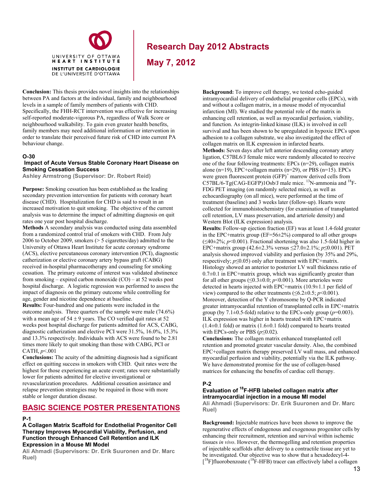

**May 7, 2012**

**Conclusion:** This thesis provides novel insights into the relationships between PA and factors at the individual, family and neighbourhood levels in a sample of family members of patients with CHD. Specifically, the FHH-RCT intervention was effective for increasing self-reported moderate-vigorous PA, regardless of Walk Score or neighbourhood walkability. To gain even greater health benefits, family members may need additional information or intervention in order to translate their perceived future risk of CHD into current PA behaviour change.

#### **O-30**

#### **Impact of Acute Versus Stable Coronary Heart Disease on Smoking Cessation Success**

**Ashley Armstrong (Supervisor: Dr. Robert Reid)** 

**Purpose:** Smoking cessation has been established as the leading secondary prevention intervention for patients with coronary heart disease (CHD). Hospitalization for CHD is said to result in an increased motivation to quit smoking. The objective of the current analysis was to determine the impact of admitting diagnosis on quit rates one year post hospital discharge.

**Methods** A secondary analysis was conducted using data assembled from a randomized control trial of smokers with CHD. From July 2006 to October 2009, smokers (> 5 cigarettes/day) admitted to the University of Ottawa Heart Institute for acute coronary syndrome (ACS), elective percutaneous coronary intervention (PCI), diagnostic catherization or elective coronary artery bypass graft (CABG) received in-hospital pharmacotherapy and counseling for smoking cessation. The primary outcome of interest was validated abstinence from smoking – expired carbon monoxide (CO) – at 52 weeks post hospital discharge. A logistic regression was performed to assess the impact of diagnosis on the primary outcome while controlling for age, gender and nicotine dependence at baseline.

**Results:** Four-hundred and one patients were included in the outcome analysis. Three quarters of the sample were male (74.6%) with a mean age of  $54 \pm 9$  years. The CO verified quit rates at 52 weeks post hospital discharge for patients admitted for ACS, CABG, diagnostic catherization and elective PCI were 31.5%, 16.0%, 15.3% and 13.3% respectively. Individuals with ACS were found to be 2.81 times more likely to quit smoking than those with CABG, PCI or CATH, *p*<.001

**Conclusions:** The acuity of the admitting diagnosis had a significant effect on quitting success in smokers with CHD. Quit rates were the highest for those experiencing an acute event; rates were substantially lower for patients admitted for elective investigational or revascularization procedures. Additional cessation assistance and relapse prevention strategies may be required in those with more stable or longer duration disease.

### **BASIC SCIENCE POSTER PRESENTATIONS**

#### **P-1**

**A Collagen Matrix Scaffold for Endothelial Progenitor Cell Therapy Improves Myocardial Viability, Perfusion, and Function through Enhanced Cell Retention and ILK Expression in a Mouse MI Model** 

**Ali Ahmadi (Supervisors: Dr. Erik Suuronen and Dr. Marc Ruel)** 

**Background:** To improve cell therapy, we tested echo-guided intramyocardial delivery of endothelial progenitor cells (EPCs), with and without a collagen matrix, in a mouse model of myocardial infarction (MI). We studied the potential role of the matrix in enhancing cell retention, as well as myocardial perfusion, viability, and function. As integrin-linked kinase (ILK) is involved in cell survival and has been shown to be upregulated in hypoxic EPCs upon adhesion to a collagen substrate, we also investigated the effect of collagen matrix on ILK expression in infarcted hearts. **Methods:** Seven days after left anterior descending coronary artery ligation, C57BL6/J female mice were randomly allocated to receive one of the four following treatments: EPCs (n=29), collagen matrix alone (n=19), EPC+collagen matrix (n=29), or PBS (n=15). EPCs were green fluorescent protein (GFP)<sup>+</sup> marrow derived cells from C57BL/6-Tg(CAG-EGFP)1Osb/J male mice. <sup>13</sup>N-ammonia and <sup>18</sup>F-FDG PET imaging (on randomly selected mice), as well as echocardiography (on all mice), were performed at the time of treatment (baseline) and 3 weeks later (follow-up). Hearts were collected for immunohistochemistry (for examination of transplanted cell retention, LV mass preservation, and arteriole density) and Western Blot (ILK expression) analysis.

**Results:** Follow-up ejection fraction (EF) was at least 1.4-fold greater in the EPC+matrix group ( $EF=56\pm2\%$ ) compared to all other groups (≤40±2%; *p*<0.001). Fractional shortening was also 1.5-fold higher in EPC+matrix group (42.6±2.3% versus ≤27.0±2.1%; *p*≤0.001). PET analysis showed improved viability and perfusion (by 35% and 29%, respectively; *p*≤0.05) only after treatment with EPC+matrix. Histology showed an anterior to posterior LV wall thickness ratio of  $0.7\pm0.1$  in EPC+matrix group, which was significantly greater than for all other groups  $(\leq 0.3 \pm 0.0; p \leq 0.001)$ . More arterioles were detected in hearts injected with EPC+matrix (10.9±1.1 per field of view) compared to the other treatments  $(\leq 6.2 \pm 0.5; p \leq 0.001)$ . Moreover, detection of the Y chromosome by Q-PCR indicated greater intramyocardial retention of transplanted cells in EPC+matrix group (by  $7.1\pm0.5$ -fold) relative to the EPCs-only group ( $p=0.003$ ). ILK expression was higher in hearts treated with EPC+matrix  $(1.4\pm0.1 \text{ fold})$  or matrix  $(1.6\pm0.1 \text{ fold})$  compared to hearts treated with EPCs-only or PBS  $(p \le 0.02)$ .

**Conclusions:** The collagen matrix enhanced transplanted cell retention and promoted greater vascular density. Also, the combined EPC+collagen matrix therapy preserved LV wall mass, and enhanced myocardial perfusion and viability, potentially via the ILK pathway. We have demonstrated promise for the use of collagen-based matrices for enhancing the benefits of cardiac cell therapy.

### **P-2**

### **Evaluation of 18F-HFB labeled collagen matrix after intramyocardial injection in a mouse MI model**

**Ali Ahmadi (Supervisors: Dr. Erik Suuronen and Dr. Marc Ruel)** 

**Background:** Injectable matrices have been shown to improve the regenerative effects of endogenous and exogenous progenitor cells by enhancing their recruitment, retention and survival within ischemic tissues *in vivo*. However, the thermogelling and retention properties of injectable scaffolds after delivery to a contractile tissue are yet to be investigated. Our objective was to show that a hexadedecyl-4- [<sup>18</sup>F]fluorobenzoate (<sup>18</sup>F-HFB) tracer can effectively label a collagen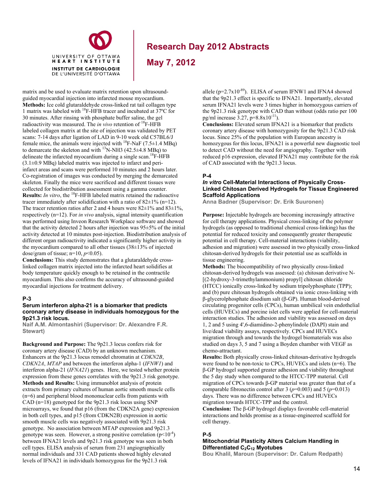

**May 7, 2012**

matrix and be used to evaluate matrix retention upon ultrasoundguided myocardial injection into infarcted mouse myocardium. **Methods:** Ice cold glutaraldehyde cross-linked rat tail collagen type 1 matrix was labeled with 18F-HFB tracer and incubated at 37ºC for 30 minutes. After rinsing with phosphate buffer saline, the gel radioactivity was measured. The *in vivo* retention of <sup>18</sup>F-HFB labeled collagen matrix at the site of injection was validated by PET scans: 7-14 days after ligation of LAD in 9-10 week old C57BL6/J female mice, the animals were injected with <sup>18</sup>F-NaF (7.5 $\pm$ 1.4 MBq) to demarcate the skeleton and with <sup>13</sup>N-NH3 (42.5 $\pm$ 4.8 MBq) to delineate the infarcted myocardium during a single scan.<sup>18</sup>F-HFB  $(3.1\pm0.9 \text{ MB})$  labeled matrix was injected to infarct and periinfarct areas and scans were performed 10 minutes and 2 hours later. Co-registration of images was conducted by merging the demarcated skeleton. Finally the mice were sacrificed and different tissues were collected for biodistribution assessment using a gamma counter. **Results:** *In vitro*, the 18F-HFB labeled matrix retained the radioactive tracer immediately after solidification with a ratio of  $82\pm1\%$  (n=12). The tracer retention ratios after 2 and 4 hours were  $82\pm1\%$  and  $83\pm1\%$ , respectively (n=12). For *in vivo* analysis, signal intensity quantification was performed using Inveon Research Workplace software and showed that the activity detected 2 hours after injection was 95±5% of the initial activity detected at 10 minutes post-injection. Biodistribution analysis of different organ radioactivity indicated a significantly higher activity in the myocardium compared to all other tissues (38±13% of injected dose/gram of tissue; n=10, *p*<0.05).

**Conclusions:** This study demonstrates that a glutaraldehyde crosslinked collagen matrix injected into the infarcted heart solidifies at body temperature quickly enough to be retained in the contractile myocardium. This also confirms the accuracy of ultrasound-guided myocardial injections for treatment delivery.

#### **P-3**

#### **Serum interferon alpha-21 is a biomarker that predicts coronary artery disease in individuals homozygous for the 9p21.3 risk locus.**

**Naif A.M. Almontashiri (Supervisor: Dr. Alexandre F.R. Stewart)** 

**Background and Purpose:** The 9p21.3 locus confers risk for coronary artery disease (CAD) by an unknown mechanism. Enhancers at the 9p21.3 locus remodel chromatin at *CDKN2B*, *CDKN2A*, *MTAP* and between the interferon alpha-1 (*IFNW1*) and interferon alpha-21 (*IFNA21*) genes. Here, we tested whether protein expression from these genes correlates with the 9p21.3 risk genotype. **Methods and Results:** Using immunoblot analysis of protein extracts from primary cultures of human aortic smooth muscle cells (n=6) and peripheral blood mononuclear cells from patients with CAD (n=18) genotyped for the 9p21.3 risk locus using SNP microarrays, we found that p16 (from the CDKN2A gene) expression in both cell types, and p15 (from CDKN2B) expression in aortic smooth muscle cells was negatively associated with 9p21.3 risk genotype. No association between MTAP expression and 9p21.3 genotype was seen. However, a strong positive correlation  $(p<10<sup>-4</sup>)$ between IFNA21 levels and 9p21.3 risk genotype was seen in both cell types. ELISA analysis of serum from 231 angiographically normal individuals and 331 CAD patients showed highly elevated levels of IFNA21 in individuals homozygous for the 9p21.3 risk

allele ( $p=2.7x10^{-89}$ ). ELISA of serum IFNW1 and IFNA4 showed that the 9p21.3 effect is specific to IFNA21. Importantly, elevated serum IFNA21 levels were 3 times higher in homozygous carriers of the 9p21.3 risk genotype with CAD than without (odds ratio per 100 pg/ml increase 3.27, p=8.8x10-11).

**Conclusions:** Elevated serum IFNA21 is a biomarker that predicts coronary artery disease with homozygosity for the 9p21.3 CAD risk locus. Since 25% of the population with European ancestry is homozygous for this locus, IFNA21 is a powerful new diagnostic tool to detect CAD without the need for angiography. Together with reduced p16 expression, elevated IFNA21 may contribute for the risk of CAD associated with the 9p21.3 locus.

#### **P-4**

### *In vitro* **Cell-Material Interactions of Physically Cross-Linked Chitosan Derived Hydrogels for Tissue Engineered Scaffold Applications**

**Anna Badner (Supervisor: Dr. Erik Suuronen)**

**Purpose:** Injectable hydrogels are becoming increasingly attractive for cell therapy applications. Physical cross-linking of the polymer hydrogels (as opposed to traditional chemical cross-linking) has the potential for reduced toxicity and consequently greater therapeutic potential in cell therapy. Cell-material interactions (viability, adhesion and migration) were assessed in two physically cross-linked chitosan-derived hydrogels for their potential use as scaffolds in tissue engineering.

**Methods:** The biocompatibility of two physically cross-linked chitosan-derived hydrogels was assessed: (a) chitosan derivative N- [(2-hydroxy-3-trimethylammonium) propyl] chitosan chloride (HTCC) ionically cross-linked by sodium tripolyphosphate (TPP); and (b) pure chitosan hydrogels obtained via ionic cross-linking with β-glycerolphosphate disodium salt (β-GP). Human blood-derived circulating progenitor cells (CPCs), human umbilical vein endothelial cells (HUVECs) and porcine islet cells were applied for cell-material interaction studies. The adhesion and viability was assessed on days 1, 2 and 5 using 4',6-diamidino-2-phenylindole (DAPI) stain and live/dead viability assays, respectively. CPCs and HUVECs migration through and towards the hydrogel biomaterials was also studied on days 3, 5 and 7 using a Boyden chamber with VEGF as chemo-attractant.

**Results:** Both physically cross-linked chitosan-derivative hydrogels were found to be non-toxic to CPCs, HUVECs and islets (n=6). The β-GP hydrogel supported greater adhesion and viability throughout the 5 day study when compared to the HTCC-TPP material. Cell migration of CPCs towards β-GP material was greater than that of a comparable fibronectin control after 3 ( $p=0.003$ ) and 5 ( $p=0.013$ ) days. There was no difference between CPCs and HUVECs migration towards HTCC-TPP and the control.

**Conclusion:** The β-GP hydrogel displays favorable cell-material interactions and holds promise as a tissue-engineered scaffold for cell therapy.

### **P-5**

#### **Mitochondrial Plasticity Alters Calcium Handling in Differentiated C2C12 Myotubes**

**Bou Khalil, Maroun (Supervisor: Dr. Calum Redpath)**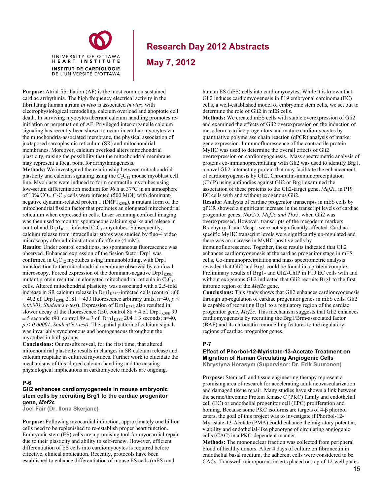

**May 7, 2012**

**Purpose:** Atrial fibrillation (AF) is the most common sustained cardiac arrhythmia. The high frequency electrical activity in the fibrillating human atrium *in vivo* is associated *in vitro* with electrophysiological remodeling, calcium overload and apoptotic cell death. In surviving myocytes aberrant calcium handling promotes reinitiation or perpetuation of AF. Privileged inter-organelle calcium signaling has recently been shown to occur in cardiac myocytes via the mitochondria-associated membrane, the physical association of juxtaposed sarcoplasmic reticulum (SR) and mitochondrial membranes. Moreover, calcium overload alters mitochondrial plasticity, raising the possibility that the mitochondrial membrane may represent a focal point for arrhythmogenesis.

**Methods:** We investigated the relationship between mitochondrial plasticity and calcium signaling using the  $C_2C_{12}$  mouse myoblast cell line. Myoblasts were induced to form contractile myotubes using low-serum differentiation medium for 96 h at 37°C in an atmosphere of 10%  $CO_2$ .  $C_2C_{12}$  cells were infected (500 MOI) with dominantnegative dynamin-related protein 1 ( $DRP1_{K38E}$ ), a mutant form of the mitochondrial fission factor that promotes an elongated mitochondrial reticulum when expressed in cells. Laser scanning confocal imaging was then used to monitor spontaneous calcium sparks and release in control and  $Drp1_{K38E}$ -infected  $C_2C_{12}$  myotubes. Subsequently, calcium release from intracellular stores was studied by fluo-4 video microscopy after administration of caffeine (4 mM).

**Results:** Under control conditions, no spontaneous fluorescence was observed. Enhanced expression of the fission factor Drp1 was confirmed in  $C_2C_{12}$  myotubes using immunoblotting, with Drp1 translocation to the mitochondrial membrane observed by confocal microscopy. Forced expression of the dominant-negative  $Drp1_{K38E}$ mutant protein resulted in elongated mitochondrial reticula in  $C_2C_{12}$ cells. Altered mitochondrial plasticity was associated with a 2.5-fold increase in SR calcium release in  $Drp1_{K38E}$ -infected cells (control 860  $\pm$  402 cf. Drp1<sub>K38E</sub> 2181  $\pm$  433 fluorescence arbitrary units, n=40, p < 0.00001, Student's t-test). Expression of  $Drp1_{K38E}$  also resulted in slower decay of the fluorescence (t50, control  $88 \pm 4$  cf. Drp1<sub>K38E</sub> 99  $\pm$  5 seconds; t90, control 89  $\pm$  3 cf. Drp1<sub>K38E</sub> 204  $\pm$  3 seconds; n=40, *p < 0.00001*, *Student's t-test)*. The spatial pattern of calcium signals was invariably synchronous and homogeneous throughout the myotubes in both groups.

**Conclusions:** Our results reveal, for the first time, that altered mitochondrial plasticity results in changes in SR calcium release and calcium reuptake in cultured myotubes. Further work to elucidate the mechanisms of this altered calcium handling and the ensuing physiological implications in cardiomyocte models are ongoing.

#### **P-6**

#### **Gli2 enhances cardiomyogenesis in mouse embryonic stem cells by recruiting Brg1 to the cardiac progenitor gene,** *Mef2c*

**Joel Fair (Dr. Ilona Skerjanc)** 

**Purpose:** Following myocardial infarction, approximately one billion cells need to be replenished to re-establish proper heart function. Embryonic stem (ES) cells are a promising tool for myocardial repair due to their plasticity and ability to self-renew. However, efficient differentiation of ES cells into cardiomyocytes is required before effective, clinical application. Recently, protocols have been established to enhance differentiation of mouse ES cells (mES) and

human ES (hES) cells into cardiomyocytes. While it is known that Gli2 induces cardiomyogenesis in P19 embryonal carcinoma (EC) cells, a well-established model of embryonic stem cells, we set out to determine the role of Gli2 in mES cells.

**Methods:** We created mES cells with stable overexpression of Gli2 and examined the effects of Gli2 overexpression on the induction of mesoderm, cardiac progenitors and mature cardiomyocytes by quantitative polymerase chain reaction (qPCR) analysis of marker gene expression. Immunofluorescence of the contractile protein MyHC was used to determine the overall effects of Gli2 overexpression on cardiomyogenesis. Mass spectrometric analysis of proteins co-immunoprecipitating with Gli2 was used to identify Brg1, a novel Gli2-interacting protein that may facilitate the enhancement of cardiomyogenesis by Gli2. Chromatin-immunoprecipitation (ChIP) using antibodies against Gli2 or Brg1 examined the association of these proteins to the Gli2-target gene, *Mef2c*, in P19 EC cells with and without exogenous Gli2.

**Results:** Analysis of cardiac progenitor transcripts in mES cells by qPCR showed a significant increase in the transcript levels of cardiac progenitor genes, *Nkx2-5, Mef2c and Tbx5,* when Gli2 was overexpressed. However, transcripts of the mesoderm markers Brachyury T and Mesp1 were not significantly affected. Cardiacspecific MyHC transcript levels were significantly up-regulated and there was an increase in MyHC-positive cells by immunofluorescence. Together, these results indicated that Gli2 enhances cardiomyogenesis at the cardiac progenitor stage in mES cells. Co-immunoprecipitation and mass spectrometric analysis revealed that Gli2 and Brg1 could be found in a protein complex. Preliminary results of Brg1- and Gli2-ChIP in P19 EC cells with and without exogenous Gli2 indicated that Gli2 recruits Brg1 to the first intronic region of the *Mef2c* gene.

**Conclusions:** This study shows that Gli2 enhances cardiomyogenesis through up-regulation of cardiac progenitor genes in mES cells. Gli2 is capable of recruiting Brg1 to a regulatory region of the cardiac progenitor gene, *Mef2c*. This mechanism suggests that Gli2 enhances cardiomyogenesis by recruiting the Brg1/Brm-associated factor (BAF) and its chromatin remodelling features to the regulatory regions of cardiac progenitor genes.

#### **P-7**

#### **Effect of Phorbol-12-Myristate-13-Acetate Treatment on Migration of Human Circulating Angiogenic Cells Khrystyna Herasym (Supervisor: Dr. Erik Suuronen)**

**Purpose:** Stem cell and tissue engineering therapy represent a promising area of research for accelerating adult neovascularization and damaged tissue repair. Many studies have shown a link between the serine/threonine Protein Kinase C (PKC) family and endothelial cell (EC) or endothelial progenitor cell (EPC) proliferation and homing. Because some PKC isoforms are targets of 4-β phorbol esters, the goal of this project was to investigate if Phorbol-12- Myristate-13-Acetate (PMA) could enhance the migratory potential, viability and endothelial-like phenotype of circulating angiogenic cells (CAC) in a PKC-dependent manner.

**Methods:** The mononuclear fraction was collected from peripheral blood of healthy donors. After 4 days of culture on fibronectin in endothelial basal medium, the adherent cells were considered to be CACs. Transwell microporous inserts placed on top of 12-well plates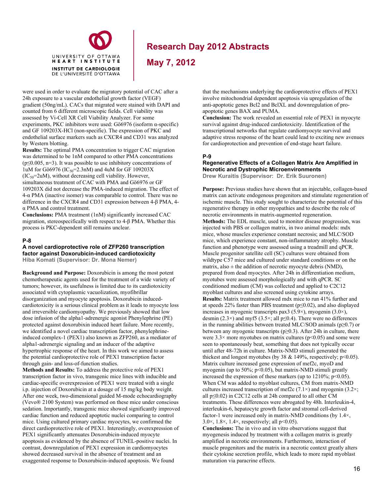

**May 7, 2012**

were used in order to evaluate the migratory potential of CAC after a 24h exposure to a vascular endothelial growth factor (VEGF) gradient (50ng/mL). CACs that migrated were stained with DAPI and counted from 6 different microscopic fields. Cell viability was assessed by Vi-Cell XR Cell Viability Analyzer. For some experiments, PKC inhibitors were used: Gö6976 (isoform α-specific) and GF 109203X-HCl (non-specific). The expression of PKC and endothelial surface markers such as CXCR4 and CD31 was analyzed by Western blotting.

UNIVERSITY OF OTTAWA HEART INSTITUTE **INSTITUT DE CARDIOLOGIE** DE L'UNIVERSITÉ D'OTTAWA

**Results:** The optimal PMA concentration to trigger CAC migration was determined to be 1nM compared to other PMA concentrations  $(p \le 0.005, n=3)$ . It was possible to use inhibitory concentrations of 1uM for Gö6976 (IC<sub>50</sub>=2.3nM) and 4uM for GF 109203X  $(IC_{50} = 2u)$ , without decreasing cell viability. However, simultaneous treatment of CAC with PMA and Gö6976 or GF 109203X did not decrease the PMA-induced migration. The effect of 4-α PMA (inactive isomer) was comparable to control. There was no difference in the CXCR4 and CD31 expression between 4-β PMA, 4 α PMA and control treatment.

**Conclusions:** PMA treatment (1nM) significantly increased CAC migration, stereospecifically with respect to 4-β PMA. Whether this process is PKC-dependent still remains unclear.

#### **P-8**

**A novel cardioprotective role of ZFP260 transcription factor against Doxorubicin-induced cardiotoxicity Hiba Komati (Supervisor: Dr. Mona Nemer)**

**Background and Purpose:** Doxorubicin is among the most potent chemotherapeutic agents used for the treatment of a wide variety of tumors; however, its usefulness is limited due to its cardiotoxicity associated with cytoplasmic vacuolization, myofibrillar disorganization and myocyte apoptosis. Doxorubicin inducedcardiotoxicity is a serious clinical problem as it leads to myocyte loss and irreversible cardiomyopathy. We previously showed that low dose infusion of the alpha1-adrenergic agonist Phenylephrine (PE) protected against doxorubixin induced heart failure. More recently, we identified a novel cardiac transcription factor, phenylephrineinduced complex-1 (PEX1) also known as ZFP260, as a mediator of alpha1-adrenergic signaling and an inducer of the adaptive hypertrophic response of the heart. In this work we aimed to assess the potential cardioprotective role of PEX1 transcription factor through gain- and loss-of-function studies.

**Methods and Results:** To address the protective role of PEX1 transcription factor in vivo, transgenic mice lines with inducible and cardiac-specific overexpression of PEX1 were treated with a single i.p. injection of Doxorubicin at a dosage of 15 mg/kg body weight. After one week, two-dimensional guided M-mode echocardiography (Vevo® 2100 System) was performed on these mice under conscious sedation. Importantly, transgenic mice showed significantly improved cardiac function and reduced apoptotic nuclei comparing to control mice. Using cultured primary cardiac myocytes, we confirmed the direct cardioprotective role of PEX1. Interestingly, overexpression of PEX1 significantly attenuates Doxorubicin-induced myocyte apoptosis as evidenced by the absence of TUNEL-positive nuclei. In contrast, downregulation of PEX1 expression in cardiomyocytes showed decreased survival in the absence of treatment and an exaggerated response to Doxorubicin-induced apoptosis. We found

that the mechanisms underlying the cardioprotective effects of PEX1 involve mitochondrial dependent apoptosis via upregulation of the anti-apoptotic genes Bcl2 and BclXL and downregulation of proapoptotic genes BAX and PUMA.

**Conclusion:** The work revealed an essential role of PEX1 in myocyte survival against drug-induced cardiotoxicity. Identification of the transcriptional networks that regulate cardiomyocyte survival and adaptive stress response of the heart could lead to exciting new avenues for cardioprotection and prevention of end-stage heart failure.

#### **P-9**

### **Regenerative Effects of a Collagen Matrix Are Amplified in Necrotic and Dystrophic Microenvironments**

**Drew Kuraitis (Supervisor: Dr. Erik Suuronen)** 

**Purpose:** Previous studies have shown that an injectable, collagen-based matrix can activate endogenous progenitors and stimulate regeneration of ischemic muscle. This study sought to characterize the potential of this regenerative therapy in other myopathies and to describe the role of necrotic environments in matrix-augmented regeneration. **Methods:** The EDL muscle, used to monitor disease progression, was injected with PBS or collagen matrix, in two animal models: mdx mice, whose muscles experience constant necrosis; and MLC/SOD mice, which experience constant, non-inflammatory atrophy. Muscle function and phenotype were assessed using a treadmill and qPCR. Muscle progenitor satellite cell (SC) cultures were obtained from wildtype C57 mice and cultured under standard conditions or on the matrix, also  $\pm$  the addition of necrotic myocyte debris (NMD), prepared from dead myocytes. After 24h in differentiation medium, myotubes were assessed morphologically and with qPCR. SC conditioned medium (CM) was collected and applied to C2C12 myoblast cultures and also screened using cytokine arrays. **Results:** Matrix treatment allowed mdx mice to run 41% further and at speeds 22% faster than PBS treatment (p≤0.02), and also displayed increases in myogenic transcripts pax3 (5.9 $\times$ ), myogenin (3.0 $\times$ ), desmin (2.3×) and myf5 (3.5×; all p $\leq$ 0.4). There were no differences in the running abilities between treated MLC/SOD animals ( $p \ge 0.7$ ) or between any myogenic transcripts ( $p \ge 0.3$ ). After 24h in culture, there were  $3.3 \times$  more myotubes on matrix cultures ( $p$ <0.05) and some were seen to spontaneously beat, something that does not typically occur until after 48-72h in culture. Matrix-NMD stimuli generated the thickest and longest myotubes (by 38  $&$  149%, respectively; p<0.05). Matrix culture increased gene expression of mef2c, myoD and myogenin (up to 50%; p<0.05), but matrix-NMD stimuli greatly increased the expression of these markers (up to  $1210\%$ ;  $p<0.05$ ). When CM was added to myoblast cultures, CM from matrix-NMD cultures increased transcription of mef2c  $(7.1\times)$  and myogenin  $(3.2\times)$ ; all p≤0.02) in C2C12 cells at 24h compared to all other CM treatments. These differences were abrogated by 48h. Interleukin-4, interleukin-6, hepatocyte growth factor and stromal cell-derived factor-1 were increased only in matrix-NMD conditions (by 1.4×,  $3.0\times$ ,  $1.8\times$ ,  $1.4\times$ , respectively; all p<0.05).

**Conclusions:** The in vivo and in vitro observations suggest that myogenesis induced by treatment with a collagen matrix is greatly amplified in necrotic environments. Furthermore, interaction of muscle progenitors and the matrix in a necrotic context greatly alters their cytokine secretion profile, which leads to more rapid myoblast maturation via paracrine effects.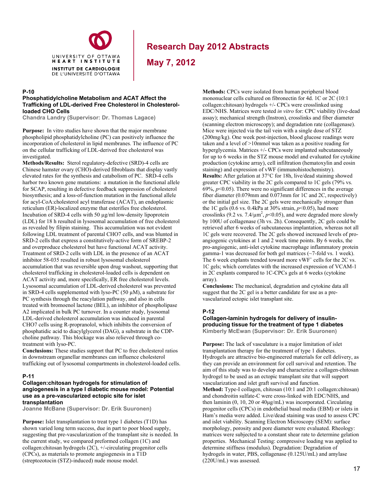

**May 7, 2012**

#### **P-10**

#### **Phosphatidylcholine Metabolism and ACAT Affect the Trafficking of LDL-derived Free Cholesterol in Cholesterolloaded CHO Cells**

**Chandra Landry (Supervisor: Dr. Thomas Lagace)** 

**Purpose:** In vitro studies have shown that the major membrane phospholipid phosphatidylcholine (PC) can positively influence the incorporation of cholesterol in lipid membranes. The influence of PC on the cellular trafficking of LDL-derived free cholesterol was investigated.

**Methods/Results:** Sterol regulatory-defective (SRD)-4 cells are Chinese hamster ovary (CHO)-derived fibroblasts that display vastly elevated rates for the synthesis and catabolism of PC. SRD-4 cells harbor two known gene mutations: a mutation in the functional allele for SCAP, resulting in defective feedback suppression of cholesterol biosynthesis; and a loss-of-function mutation in the functional allele for acyl-CoA:cholesterol acyl transferase (ACAT), an endoplasmic reticulum (ER)-localized enzyme that esterifies free cholesterol. Incubation of SRD-4 cells with 50 µg/ml low-density lipoprotein (LDL) for 18 h resulted in lysosomal accumulation of free cholesterol as revealed by filipin staining. This accumulation was not evident following LDL treatment of parental CHO7 cells, and was blunted in SRD-2 cells that express a constitutively-active form of SREBP-2 and overproduce cholesterol but have functional ACAT activity. Treatment of SRD-2 cells with LDL in the presence of an ACAT inhibitor 58-035 resulted in robust lysosomal cholesterol accumulation that was reversible upon drug washout, supporting that cholesterol trafficking in cholesterol-loaded cells is dependent on ACAT activity and, more specifically, ER free cholesterol levels. Lysosomal accumulation of LDL-derived cholesterol was prevented in SRD-4 cells supplemented with lyso-PC (50  $\mu$ M), a substrate for PC synthesis through the reacylation pathway, and also in cells treated with bromoenol lactone (BEL), an inhibitor of phospholipase A2 implicated in bulk PC turnover. In a counter study, lysosomal LDL-derived cholesterol accumulation was induced in parental CHO7 cells using R-propranolol, which inhibits the conversion of phosphatidic acid to diacylglycerol (DAG), a substrate in the CDPcholine pathway. This blockage was also relieved through cotreatment with lyso-PC.

**Conclusions:** These studies support that PC to free cholesterol ratios in downstream organellar membranes can influence cholesterol trafficking out of lysosomal compartments in cholesterol-loaded cells.

#### **P-11**

#### **Collagen:chitosan hydrogels for stimulation of angiogenesis in a type I diabetic mouse model: Potential use as a pre-vascularized ectopic site for islet transplantation**

**Joanne McBane (Supervisor: Dr. Erik Suuronen)** 

**Purpose:** Islet transplantation to treat type 1 diabetes (T1D) has shown varied long term success, due in part to poor blood supply, suggesting that pre-vascularization of the transplant site is needed. In the current study, we compared preformed collagen (1C) and collagen:chitosan hydrogels (2C), +/-circulating progenitor cells (CPCs), as materials to promote angiogenesis in a T1D (streptozotocin (STZ)-induced) nude mouse model.

**Methods:** CPCs were isolated from human peripheral blood mononuclear cells cultured on fibronectin for 4d. 1C or 2C (10:1 collagen:chitosan) hydrogels +/- CPCs were crosslinked using EDC/NHS. Matrices were tested *in vitro* for: CPC viability (live-dead assay); mechanical strength (Instron), crosslinks and fiber diameter (scanning electron microscopy); and degradation rate (collagenase). Mice were injected via the tail vein with a single dose of STZ (200mg/kg). One week post-injection, blood glucose readings were taken and a level of >10mmol was taken as a positive reading for hyperglycemia. Matrices  $+/-$  CPCs were implanted subcutaneously for up to 6 weeks in the STZ mouse model and evaluated for cytokine production (cytokine array), cell infiltration (hematoxylin and eosin staining) and expression of vWF (immunohistochemistry). **Results:** After gelation at 37°C for 18h, live/dead staining showed greater CPC viability in the 2C gels compared to 1C gels (79% vs.  $69\%, p<0.05$ ). There were no significant differences in the average fiber diameter (0.079mm and 0.073mm for 1C and 2C, respectively) or the initial gel size. The 2C gels were mechanically stronger than the 1C gels (0.6 vs. 0.4kPa at 30% strain,  $p$  < 0.05), had more crosslinks (9.2 vs.  $7.4/\mu$ m<sup>2</sup>,  $p<0.05$ ), and were degraded more slowly by 100U of collagenase (3h vs. 2h). Consequently, 2C gels could be retrieved after 6 weeks of subcutaneous implantation, whereas not all 1C gels were recovered. The 2C gels showed increased levels of proangiogenic cytokines at 1 and 2 week time points. By 6 weeks, the pro-angiogenic, anti-islet cytokine macrophage inflammatory protein gamma-1 was decreased for both gel matrices (~7-fold vs. 1 week). The 6 week explants trended toward more  $vWF^+$  cells for the 2C vs. 1C gels; which correlates with the increased expression of VCAM-1 in 2C explants compared to 1C-CPCs gels at 6 weeks (cytokine array).

**Conclusions:** The mechanical, degradation and cytokine data all suggest that the 2C gel is a better candidate for use as a prevascularized ectopic islet transplant site.

### **P-12**

#### **Collagen-laminin hydrogels for delivery of insulinproducing tissue for the treatment of type 1 diabetes Kimberly McEwan (Supervisor: Dr. Erik Suuronen)**

**Purpose:** The lack of vasculature is a major limitation of islet transplantation therapy for the treatment of type 1 diabetes. Hydrogels are attractive bio-engineered materials for cell delivery, as they can provide an environment for cell survival and retention. The aim of this study was to develop and characterize a collagen-chitosan hydrogel to be used as an ectopic transplant site that will support vascularization and islet graft survival and function. **Method:** Type-I collagen, chitosan (10:1 and 20:1 collagen:chitosan) and chondroitin sulfate-C were cross-linked with EDC/NHS, and then laminin (0, 10, 20 or 40μg/mL) was incorporated. Circulating progenitor cells (CPCs) in endothelial basal media (EBM) or islets in Ham's media were added. Live/dead staining was used to assess CPC and islet viability. Scanning Electron Microscopy (SEM): surface morphology, porosity and pore diameter were evaluated. Rheology: matrices were subjected to a constant shear rate to determine gelation properties. Mechanical Testing: compressive loading was applied to determine stiffness (modulus). Degradation: Degradation of hydrogels in water, PBS, collagenase (0.125U/mL) and amylase (220U/mL) was assessed.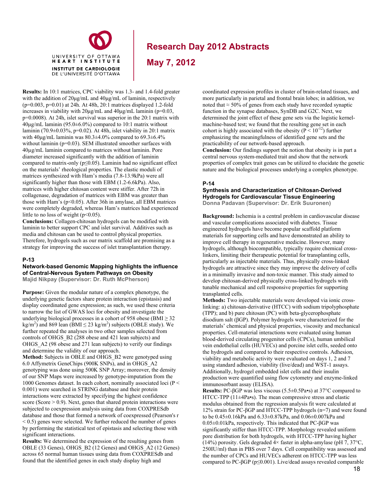

**May 7, 2012**

**Results:** In 10:1 matrices, CPC viability was 1.3- and 1.4-fold greater with the addition of 20μg/mL and 40μg/mL of laminin, respectively (p=0.003, p=0.01) at 24h. At 48h, 20:1 matrices displayed 1.2-fold increases in viability with  $20\mu g/mL$  and  $40\mu g/mL$  laminin (p=0.03, p=0.0008). At 24h, islet survival was superior in the 20:1 matrix with 40μg/mL laminin (95.0±6.0%) compared to 10:1 matrix without laminin (70.9±0.03%, p=0.02). At 48h, islet viability in 20:1 matrix with  $40\mu$ g/mL laminin was  $80.3\pm4.0\%$  compared to  $69.3\pm6.4\%$ without laminin (p=0.03). SEM illustrated smoother surfaces with 40µg/mL laminin compared to matrices without laminin. Pore diameter increased significantly with the addition of laminin compared to matrix-only ( $p \le 0.05$ ). Laminin had no significant effect on the materials' rheological properties. The elastic moduli of matrices synthesized with Ham's media (7.8-13.9kPa) were all significantly higher than those with EBM (1.2-6.6kPa). Also, matrices with higher chitosan content were stiffer. After 72h in collagenase, degradation of matrices with EBM was greater than those with Ham's (p<0.05). After 36h in amylase, all EBM matrices were completely degraded, whereas Ham's matrices had experienced little to no loss of weight  $(p<0.05)$ .

laminin to better support CPC and islet survival. Additives such as **Conclusions:** Collagen-chitosan hydrogels can be modified with media and chitosan can be used to control physical properties. Therefore, hydrogels such as our matrix scaffold are promising as a strategy for improving the success of islet transplantation therapy.

#### **P-13**

### **Network-based Genomic Mapping highlights the influence of Central-Nervous System Pathways on Obesity**

**Majid Nikpay (Supervisor: Dr. Ruth McPherson)**

**Purpose:** Given the modular nature of a complex phenotype, the underlying genetic factors share protein interaction (epistasis) and display coordinated gene expression; as such, we used these criteria to narrow the list of GWAS loci for obesity and investigate the underlying biological processes in a cohort of 958 obese (BMI  $\geq$  32 kg/m<sup>2</sup>) and 869 lean ( $\hat{B}MI \le 23$  kg/m<sup>2</sup>) subjects (OBLE study). We further repeated the analyses in two other samples selected from controls of OHGS\_B2 (288 obese and 421 lean subjects) and OHGS A2 (98 obese and 271 lean subjects) to verify our findings and determine the validity of our approach.

**Method:** Subjects in OBLE and OHGS\_B2 were genotyped using 6.0 Affymetrix GeneChips (900K SNPs), and in OHGS\_A2 genotyping was done using 500K SNP Array; moreover, the density of our SNP Maps were increased by genotype-imputation from the 1000 Genomes dataset. In each cohort, nominally associated loci (P < 0.001) were searched in STRING database and their protein interactions were extracted by specifying the highest confidence score (Score  $> 0.9$ ). Next, genes that shared protein interactions were subjected to coexpression analysis using data from COXPRESdb database and those that formed a network of coexpressed (Pearson's r  $<$  0.5) genes were selected. We further reduced the number of genes by performing the statistical test of epistasis and selecting those with significant interactions.

**Results:** We determined the expression of the resulting genes from OBLE (33 Genes), OHGS\_B2 (12 Genes) and OHGS\_A2 (12 Genes) across 65 normal human tissues using data from COXPRESdb and found that the identified genes in each study display high and

coordinated expression profiles in cluster of brain-related tissues, and more particularly in parietal and frontal brain lobes; in addition, we noted that  $\approx$  50% of genes from each study have recorded synaptic function in the synapse databases, SynDB and G2C. Next, we determined the joint effect of these gene sets via the logistic kernelmachine-based test; we found that the resulting gene set in each cohort is highly associated with the obesity ( $P < 10^{-12}$ ) further emphasizing the meaningfulness of identified gene sets and the practicability of our network-based approach. **Conclusion:** Our findings support the notion that obesity is in part a central nervous system-mediated trait and show that the network properties of complex trait genes can be utilized to elucidate the genetic nature and the biological processes underlying a complex phenotype.

### **P-14**

#### **Synthesis and Characterization of Chitosan-Derived Hydrogels for Cardiovascular Tissue Engineering Donna Padavan (Supervisor: Dr. Erik Suuronen)**

**Background:** Ischemia is a central problem in cardiovascular disease and vascular complications associated with diabetes. Tissue engineered hydrogels have become popular scaffold platform materials for supporting cells and have demonstrated an ability to improve cell therapy in regenerative medicine. However, many hydrogels, although biocompatible, typically require chemical crosslinkers, limiting their therapeutic potential for transplanting cells, particularly as injectable materials. Thus, physically cross-linked hydrogels are attractive since they may improve the delivery of cells in a minimally invasive and non-toxic manner. This study aimed to develop chitosan-derived physically cross-linked hydrogels with tunable mechanical and cell responsive properties for supporting transplanted cells.

**Methods:** Two injectable materials were developed via ionic crosslinking: a) chitosan-derivative (HTCC) with sodium tripolyphosphate (TPP); and b) pure chitosan (PC) with beta-glycerophosphate disodium salt (βGP). Polymer hydrogels were characterized for the materials' chemical and physical properties, viscosity and mechanical properties. Cell-material interactions were evaluated using human blood-derived circulating progenitor cells (CPCs), human umbilical vein endothelial cells (HUVECs) and porcine islet cells, seeded onto the hydrogels and compared to their respective controls. Adhesion, viability and metabolic activity were evaluated on days 1, 2 and 7 using standard adhesion, viability (live/dead) and WST-1 assays. Additionally, hydrogel embedded islet cells and their insulin production were quantified using flow cytometry and enzyme-linked immunosorbant assay (ELISA).

**Results:** PC-βGP was less viscous (5.5±0.5Pa•s) at 37°C compared to HTCC-TPP (11±4Pa•s). The mean compressive stress and elastic modulus obtained from the regression analysis fit were calculated at 12% strain for PC-βGP and HTCC-TPP hydrogels (n=7) and were found to be 0.45±0.16kPa and 6.33±0.87kPa, and 0.06±0.007kPa and 0.05±0.01kPa, respectively. This indicated that PC-βGP was significantly stiffer than HTCC-TPP. Morphology revealed uniform pore distribution for both hydrogels, with HTCC-TPP having higher (14%) porosity. Gels degraded  $4 \times$  faster in alpha-amylase (pH 7, 37°C, 250IU/ml) than in PBS over 7 days. Cell compatibility was assessed and the number of CPCs and HUVECs adherent on HTCC-TPP was less compared to PC-βGP (p≤0.001). Live/dead assays revealed comparable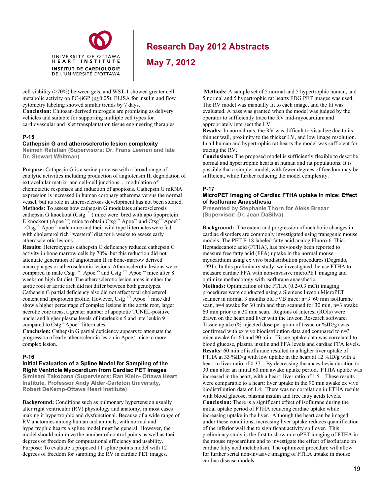

**May 7, 2012**

cell viability (>70%) between gels, and WST-1 showed greater cell metabolic activity on PC-βGP (p≤0.05). ELISA for insulin and flow cytometry labeling showed similar trends by 7 days. **Conclusion:** Chitosan-derived microgels are promising as delivery vehicles and suitable for supporting multiple cell types for cardiovascular and islet transplantation tissue engineering therapies.

#### **P-15**

#### **Cathepsin G and atherosclerotic lesion complexity**

**Naimeh Rafatian (Supervisors: Dr. Frans Leenen and late Dr. Stewart Whitman)** 

**Purpose:** Cathpesin G is a serine protease with a broad range of catalytic activities including production of angiotensin II, degradation of extracellular matrix and cell-cell junctions , modulation of chemotactic responses and induction of apoptosis. Cathepsin G mRNA expression is increased in human coronary atheroma versus the normal vessel, but its role in atherosclerosis development has not been studied. **Methods:** To assess how cathepsin G modulates atherosclerosis cathepsin G knockout (Cstg  $\rightarrow$  ) mice were bred with apo lipoprotein E knockout (Apoe  $^{-/-}$ ) mice to obtain Ctsg<sup>+/-</sup> Apoe<sup>-/-</sup> and Ctsg<sup>+/+</sup>Apoe<sup>-/</sup> .  $C \, \text{tsg}^{+/}$  Apoe<sup>-/-</sup> male mice and their wild type littermates were fed with cholesterol rich "western" diet for 8 weeks to assess early atherosclerotic lesions.

**Results:** Heterozygous cathepsin G deficiency reduced cathepsin G activity in bone marrow cells by 70% but this reduction did not attenuate generation of angiotensin II in bone-marrow derived macrophages or atherosclerotic lesions .Atherosclerotic lesions were compared in male Cstg<sup>+/-</sup> Apoe<sup> $-/-$ </sup> and Cstg<sup>+/+</sup> Apoe<sup> $-/-$ </sup> mice after 8 weeks on high fat diet. The atherosclerotic lesion areas in either the aortic root or aortic arch did not differ between both genotypes. Cathepsin G partial deficiency also did not affect total cholesterol content and lipoprotein profile. However, Cstg  $^{+/+}$  Apoe  $^{/-}$  mice did show a higher percentage of complex lesions in the aortic root, larger necrotic core areas, a greater number of apoptotic TUNEL-positive nuclei and higher plasma levels of interleukin 5 and interleukin 9 compared to Cstg<sup>+/-</sup>Apoe<sup>-/-</sup> littermates.

**Conclusion:** Cathepsin G partial deficiency appears to attenuate the progression of early atherosclerotic lesion in Apoe<sup>-/-</sup> mice to more complex lesion.

#### **P-16**

#### **Initial Evaluation of a Spline Model for Sampling of the Right Ventricle Myocardium from Cardiac PET Images Simisani Takobana (Supervisors: Ran Klein- Ottawa Heart**

**Institute, Professor Andy Alder-Carleton University, Robert DeKemp-Ottawa Heart Institute)** 

**Background:** Conditions such as pulmonary hypertension usually alter right ventricular (RV) physiology and anatomy, in most cases making it hypertrophic and dysfunctional. Because of a wide range of RV anatomies among human and animals, with normal and hypertrophic hearts a spline model must be general. However, the model should minimize the number of control points as well as their degrees of freedom for computational efficiency and usability. Purpose: To evaluate a proposed 11 spline points model with 12 degrees of freedom for sampling the RV in cardiac PET images.

**Methods:** A sample set of 5 normal and 5 hypertrophic human, and 5 normal and 5 hypertrophic rat hearts FDG PET images was used. The RV model was manually fit to each image, and the fit was evaluated. A pass was granted when the model was judged by the operator to sufficiently trace the RV mid-myocardium and appropriately intersect the LV.

**Results:** In normal rats, the RV was difficult to visualize due to its thinner wall, proximity to the thicker LV, and low image resolution. In all human and hypertrophic rat hearts the model was sufficient for tracing the RV.

**Conclusions:** The proposed model is sufficiently flexible to describe normal and hypertrophic hearts in human and rat populations. It is possible that a simpler model, with fewer degrees of freedom may be sufficient, while further reducing the model complexity.

### **P-17**

#### **MicroPET imaging of Cardiac FTHA uptake in mice: Effect of Isoflurane Anaesthesia**

**Presented by Stephanie Thorn for Aleks Brezar (Supervisor: Dr. Jean DaSilva)** 

**Background:** The extent and progression of metabolic changes in cardiac disorders are commonly investigated using transgenic mouse models. The PET F-18 labeled fatty acid analog Fluoro-6-Thia-Heptadecanoic acid (FTHA), has previously been reported to measure free fatty acid (FFA) uptake in the normal mouse myocardium using ex vivo biodistribution procedures (Degrado, 1991). In this preliminary study, we investigated the use FTHA to measure cardiac FFA with non-invasive microPET imaging and optimize methodology with isoflurane anaesthetic. **Methods:** Optimization of the FTHA (0.2-0.3 mCi) imaging procedures were conducted using a Siemens Inveon MicroPET scanner in normal 3 months old FVB mice: n=3 60 min isoflurane scan, n=4 awake for 30 min and then scanned for 30 min, n=3 awake 60 min prior to a 30 min scan. Regions of interest (ROIs) were drawn on the heart and liver with the Inveon Research software. Tissue uptake (% injected dose per gram of tissue or  $\frac{\%}{D/g}$ ) was confirmed with ex vivo biodistribution data and compared to n=3 mice awake for 60 and 90 min. Tissue uptake data was correlated to blood glucose, plasma insulin and FFA levels and cardiac FFA levels. **Results:** 60 min of isoflurane resulted in a higher liver uptake of FTHA at 33 %ID/g with low uptake in the heart at 12 %ID/g with a heart to liver ratio of 0.37. By decreasing the anaesthesia duration to 30 min after an initial 60 min awake uptake period, FTHA uptake was increased in the heart, with a heart: liver ratio of 1.5. These results were comparable to a heart: liver uptake in the 90 min awake ex vivo biodistribution data of 1.4. There was no correlation in FTHA results with blood glucose, plasma insulin and free fatty acids levels. **Conclusion:** There is a significant effect of isoflurane during the initial uptake period of FTHA reducing cardiac uptake while increasing uptake in the liver. Although the heart can be imaged under these conditions, increasing liver uptake reduces quantification of the inferior wall due to significant activity spillover. This preliminary study is the first to show microPET imaging of FTHA in the mouse myocardium and to investigate the effect of isoflurane on cardiac fatty acid metabolism. The optimized procedure will allow for further serial non-invasive imaging of FTHA uptake in mouse cardiac disease models.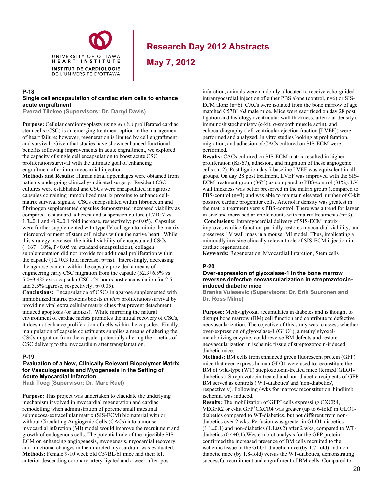

**May 7, 2012**

#### **P-18 Single cell encapsulation of cardiac stem cells to enhance acute engraftment**

**Everad Tilokee (Supervisors: Dr. Darryl Davis)** 

**Purpose:** Cellular cardiomyoplasty using *ex vivo* proliferated cardiac stem cells (CSC) is an emerging treatment option in the management of heart failure; however, regeneration is limited by cell engraftment and survival. Given that studies have shown enhanced functional benefits following improvements in acute engraftment, we explored the capacity of single cell encapsulation to boost acute CSC proliferation/survival with the ultimate goal of enhancing engraftment after intra-myocardial injection.

**Methods and Results:** Human atrial appendages were obtained from patients undergoing clinically-indicated surgery. Resident CSC cultures were established and CSCs were encapsulated in agarose capsules containing immobilized matrix proteins to enhance cellmatrix survival signals. CSCs encapsulated within fibronectin and fibrinogen supplemented capsules demonstrated increased viability as compared to standard adherent and suspension culture  $(1.7\pm0.7 \text{ vs.})$  $1.3\pm0.1$  and  $-0.9\pm0.1$  fold increase, respectively; p<0.05). Capsules were further supplemented with type IV collagen to mimic the matrix microenvironment of stem cell niches within the native heart. While this strategy increased the initial viability of encapsulated CSCs  $(+167 \pm 10\%, P<0.05 \text{ vs. standard encapsulation})$ , collagen supplementation did not provide for additional proliferation within the capsule  $(1.2\pm0.3$  fold increase, p=ns). Interestingly, decreasing the agarose content within the capsule provided a means of engineering early CSC migration from the capsule (52.3±6.5% vs. 5.0±3.4% extra-capsular CSCs 24 hours post encapsulation for 2.5 and 3.5% agarose, respectively; p<0.05).

**Conclusions:** Encapsulation of CSCs in agarose supplemented with immobilized matrix proteins boosts *in vitro* proliferation/survival by providing vital extra cellular matrix clues that prevent detachment induced apoptosis (or anoikis). While mirroring the natural environment of cardiac niches promotes the initial recovery of CSCs, it does not enhance proliferation of cells within the capsules. Finally, manipulation of capsule constituents supplies a means of altering the CSCs migration from the capsule- potentially altering the kinetics of CSC delivery to the myocardium after transplantation.

#### **P-19**

#### **Evaluation of a New, Clinically Relevant Biopolymer Matrix for Vasculogenesis and Myogenesis in the Setting of Acute Myocardial Infarction**

**Hadi Toeg (Supervisor: Dr. Marc Ruel)** 

**Purpose:** This project was undertaken to elucidate the underlying mechanism involved in myocardial regeneration and cardiac remodelling when administration of porcine small intestinal submucosa-extracellular matrix (SIS-ECM) biomaterial with or without Circulating Angiogenic Cells (CACs) into a mouse myocardial infarction (MI) model would improve the recruitment and growth of endogenous cells. The potential role of the injectible SIS-ECM on enhancing angiogenesis, myogenesis, myocardial recovery, and functional changes in the infarcted myocardium was evaluated. **Methods:** Female 9-10 week old C57BL/6J mice had their left anterior descending coronary artery ligated and a week after post

infarction, animals were randomly allocated to receive echo-guided intramyocardial injection of either PBS alone (control, n=6) or SIS-ECM alone (n=6). CACs were isolated from the bone marrow of age matched C57BL/6J male mice. Mice were sacrificed on day 28 post ligation and histology (ventricular wall thickness, arteriolar density), immunoshistochemistry (c-kit, α-smooth muscle actin), and echocardiography (left ventricular ejection fraction [LVEF]) were performed and analyzed. In vitro studies looking at proliferation, migration, and adhesion of CACs cultured on SIS-ECM were performed.

**Results:** CACs cultured on SIS-ECM matrix resulted in higher proliferation (Ki-67), adhesion, and migration of these angiogenic cells (n=2). Post ligation day 7 baseline LVEF was equivalent in all groups. On day 28 post treatment, LVEF was improved with the SIS-ECM treatment group (36%) as compared to PBS-control (31%). LV wall thickness was better preserved in the matrix group (compared to PBS-control (n=3) and was able to maintain elevated number of C-kit positive cardiac progenitor cells. Arteriolar density was greatest in the matrix treatment versus PBS-control. There was a trend for larger in size and increased arteriole counts with matrix treatments (n=3).  **Conclusions:** Intramyocardial delivery of SIS-ECM matrix improves cardiac function, partially restores myocardial viability, and preserves LV wall mass in a mouse MI model. Thus, implicating a minimally invasive clincally relevant role of SIS-ECM injection in

cardiac regeneration.

**Keywords:** Regeneration, Myocardial Infarction, Stem cells

#### **P-20**

#### **Over-expression of glyoxalase-1 in the bone marrow reverses defective neovascularization in streptozotocininduced diabetic mice**

**Branka Vulesevic (Supervisors: Dr. Erik Suuronen and Dr. Ross Milne)** 

**Purpose:** Methylglyoxal accumulates in diabetes and is thought to disrupt bone marrow (BM) cell function and contribute to defective neovascularization. The objective of this study was to assess whether over-expression of glyoxalase-1 (GLO1), a methylglyoxalmetabolizing enzyme, could reverse BM defects and restore neovascularization in ischemic tissue of streptozotocin-induced diabetic mice.

**Methods:** BM cells from enhanced green fluorescent protein (GFP) mice that over-express human GLO1 were used to reconstitute the BM of wild-type (WT) streptozotocin-treated mice (termed 'GLO1 diabetics'). Streptozotocin-treated and non-diabetic recipients of GFP BM served as controls ('WT-diabetics' and 'non-diabetics', respectively). Following 6wks for marrow reconstitution, hindlimb ischemia was induced.

**Results:** The mobilization of GFP<sup>+</sup> cells expressing CXCR4, VEGFR2 or c-kit GFP<sup>+</sup>CXCR4 was greater (up to 6-fold) in GLO1diabetics compared to WT-diabetics, but not different from nondiabetics over 2 wks. Perfusion was greater in GLO1-diabetics  $(1.1\pm0.1)$  and non-diabetics  $(1.1\pm0.2)$  after 2 wks, compared to WTdiabetics  $(0.4\pm0.1)$ . Western blot analysis for the GFP protein confirmed the increased presence of BM cells recruited to the ischemic tissue in the GLO1-diabetic mice (by 1.7-fold) and nondiabetic mice (by 1.8-fold) versus the WT-diabetics, demonstrating successful recruitment and engraftment of BM cells. Compared to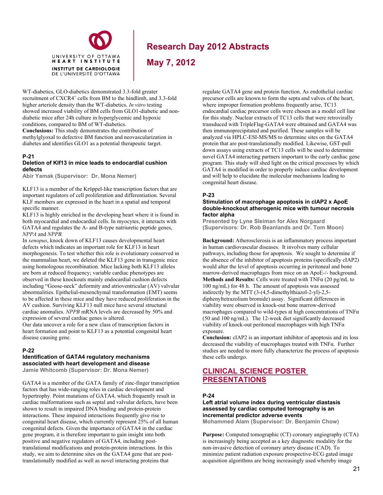

**May 7, 2012**

WT-diabetics, GLO-diabetics demonstrated 3.3-fold greater recruitment of CXCR4<sup>+</sup> cells from BM to the hindlimb, and 3.3-fold higher arteriole density than the WT-diabetics. *In vitro* testing showed increased viability of BM cells from GLO1-diabetic and nondiabetic mice after 24h culture in hyperglycemic and hypoxic conditions, compared to BM of WT-diabetics.

**Conclusions:** This study demonstrates the contribution of methylglyoxal to defective BM function and neovascularization in diabetes and identifies GLO1 as a potential therapeutic target.

# **P-21**

#### **Deletion of Klf13 in mice leads to endocardial cushion defects**

**Abir Yamak (Supervisor: Dr. Mona Nemer)**

KLF13 is a member of the Krϋppel-like transcription factors that are important regulators of cell proliferation and differentiation. Several KLF members are expressed in the heart in a spatial and temporal specific manner.

KLF13 is highly enriched in the developing heart where it is found in both myocardial and endocardial cells. In myocytes, it interacts with GATA4 and regulates the A- and B-type natriuretic peptide genes, *NPPA* and *NPPB.*

In *xenopus*, knock down of KLF13 causes developmental heart defects which indicates an important role for KLF13 in heart morphogenesis. To test whether this role is evolutionary conserved in the mammalian heart, we deleted the KLF13 gene in transgenic mice using homologous recombination. Mice lacking both KLF13 alleles are born at reduced frequency; variable cardiac phenotypes are observed in these knockouts mainly endocardial cushion defects including "Goose-neck" deformity and atrioventricular (AV) valvular abnormalities. Epithelial-mesenchymal transformation (EMT) seems to be affected in these mice and they have reduced proliferation in the AV cushion. Surviving KLF13 null mice have several structural cardiac anomalies. *NPPB* mRNA levels are decreased by 50% and expression of several cardiac genes is altered.

Our data uncover a role for a new class of transcription factors in heart formation and point to KLF13 as a potential congenital heart disease causing gene.

### **P-22**

#### **Identification of GATA4 regulatory mechanisms associated with heart development and disease Jamie Whitcomb (Supervisor: Dr. Mona Nemer)**

GATA4 is a member of the GATA family of zinc-finger transcription factors that has wide-ranging roles in cardiac development and hypertrophy. Point mutations of GATA4, which frequently result in cardiac malformations such as septal and valvular defects, have been shown to result in impaired DNA binding and protein-protein interactions. These impaired interactions frequently give rise to congenital heart disease, which currently represent 25% of all human congenital defects. Given the importance of GATA4 in the cardiac gene program, it is therefore important to gain insight into both positive and negative regulators of GATA4, including posttranslational modifications and protein-protein interactions. In this study, we aim to determine sites on the GATA4 gene that are posttranslationally modified as well as novel interacting proteins that

regulate GATA4 gene and protein function. As endothelial cardiac precursor cells are known to form the septa and valves of the heart, where improper formation problems frequently arise, TC13 endocardial cardiac precursor cells were chosen as a model cell line for this study. Nuclear extracts of TC13 cells that were retrovirally transduced with TripleFlag-GATA4 were obtained and GATA4 was then immunoprecipitated and purified. These samples will be analyzed via HPLC-ESI-MS/MS to determine sites on the GATA4 protein that are post-translationally modified. Likewise, GST-pull down assays using extracts of TC13 cells will be used to determine novel GATA4 interacting partners important to the early cardiac gene program. This study will shed light on the critical processes by which GATA4 is modified in order to properly induce cardiac development and will help to elucidate the molecular mechanisms leading to congenital heart disease.

### **P-23**

#### **Stimulation of macrophage apoptosis in cIAP2 x ApoE double-knockout atherogenic mice with tumour necrosis factor alpha**

**Presented by Lyne Sleiman for Alex Norgaard (Supervisors: Dr. Rob Beanlands and Dr. Tom Moon)** 

**Background:** Atherosclerosis is an inflammatory process important in human cardiovascular diseases. It involves many cellular pathways, including those for apoptosis. We sought to determine if the absence of the inhibitor of apoptosis proteins (specifically cIAP2) would alter the level of apoptosis occurring in peritoneal and bone marrow-derived macrophages from mice on an ApoE-/- background. **Methods and Results:** Cells were treated with TNFα (20 pg/mL to 100 ng/mL) for 48 h. The amount of apoptosis was assessed indirectly by the MTT (3-(4,5-dimethylthiazol-2-yl)-2,5 diphenyltetrazolium bromide) assay. Significant differences in viability were observed in knock-out bone marrow-derived macrophages compared to wild-types at high concentrations of  $TNF\alpha$ (50 and 100 ng/mL). The 12-week diet significantly decreased viability of knock-out peritoneal macrophages with high  $TNF\alpha$ exposure.

**Conclusion:** cIAP2 is an important inhibitor of apoptosis and its loss decreased the viability of macrophages treated with TNFα. Further studies are needed to more fully characterize the process of apoptosis these cells undergo.

# **CLINICAL SCIENCE POSTER PRESENTATIONS**

### **P-24**

**Left atrial volume index during ventricular diastasis assessed by cardiac computed tomography is an incremental predictor adverse events** 

**Mohammed Alam (Supervisor: Dr. Benjamin Chow)** 

**Purpose:** Computed tomographic (CT) coronary angiography (CTA) is increasingly being accepted as a key diagnostic modality for the non-invasive detection of coronary artery disease (CAD). To minimize patient radiation exposure prospective-ECG gated image acquisition algorithms are being increasingly used whereby image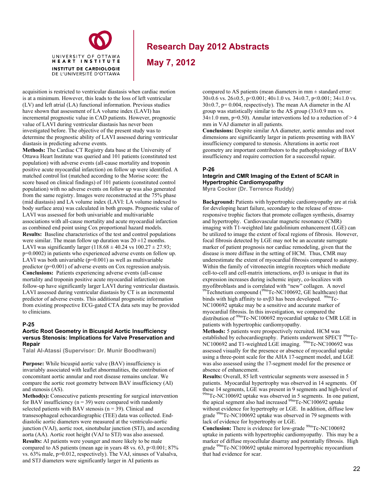

**May 7, 2012**

acquisition is restricted to ventricular diastasis when cardiac motion is at a minimum. However, this leads to the loss of left ventricular (LV) and left atrial (LA) functional information. Previous studies have shown that assessment of LA volume index (LAVI) has incremental prognostic value in CAD patients. However, prognostic value of LAVI during ventricular diastasis has never been investigated before. The objective of the present study was to determine the prognostic ability of LAVI assessed during ventricular diastasis in predicting adverse events.

**Methods:** The Cardiac CT Registry data base at the University of Ottawa Heart Institute was queried and 101 patients (constituted test population) with adverse events (all-cause mortality and troponin positive acute myocardial infarction) on follow up were identified. A matched control list (matched according to the Morise score: the score based on clinical findings) of 101 patients (constituted control population) with no adverse events on follow up was also generated from the same registry. Images were reconstructed at the 75% phase (mid diastasis) and LA volume index (LAVI: LA volume indexed to body surface area) was calculated in both groups. Prognostic value of LAVI was assessed for both univariable and multivariable associations with all-cause mortality and acute myocardial infarction as combined end point using Cox proportional hazard models. **Results:** Baseline characteristics of the test and control populations were similar. The mean follow up duration was  $20 \pm 12$  months. LAVI was significantly larger (118.68  $\pm$  40.24 vs 100.27  $\pm$  27.93; p=0.0002) in patients who experienced adverse events on follow up. LAVI was both univariable  $(p=0.001)$  as well as multivariable predictor (p=0.001) of adverse events on Cox regression analysis. **Conclusions:** Patients experiencing adverse events (all-cause mortality and troponin positive acute myocardial infarction) on follow-up have significantly larger LAVI during ventricular diastasis. LAVI assessed during ventricular diastasis by CT is an incremental predictor of adverse events. This additional prognostic information from existing prospective ECG-gated CTA data sets may be provided to clinicians.

#### **P-25**

#### **Aortic Root Geometry in Bicuspid Aortic Insufficiency versus Stenosis: Implications for Valve Preservation and Repair**

**Talal Al-Atassi (Supervisor: Dr. Munir Boodhwani)** 

**Purpose:** While bicuspid aortic valve (BAV) insufficiency is invariably associated with leaflet abnormalities, the contribution of concomitant aortic annular and root disease remains unclear. We compare the aortic root geometry between BAV insufficiency (AI) and stenosis (AS).

**Method(s):** Consecutive patients presenting for surgical intervention for BAV insufficiency  $(n = 39)$  were compared with randomly selected patients with BAV stenosis ( $n = 39$ ). Clinical and transesophageal echocardiographic (TEE) data was collected. Enddiastolic aortic diameters were measured at the ventriculo-aortic junction (VAJ), aortic root, sinotubular junction (STJ), and ascending aorta (AA). Aortic root height (VAJ to STJ) was also assessed. **Results:** AI patients were younger and more likely to be male compared to AS patients (mean age in years  $48$  vs.  $63$ ,  $p<0.001$ ;  $87%$ vs. 63% male, p=0.012, respectively). The VAJ, sinuses of Valsalva, and STJ diameters were significantly larger in AI patients as

compared to AS patients (mean diameters in mm ± standard error:  $30\pm0.6$  vs.  $26\pm0.5$ , p $\leq 0.001$ ;  $40\pm1.0$  vs.  $34\pm0.7$ , p $\leq 0.001$ ;  $34\pm1.0$  vs.  $30\pm0.7$ , p= 0.004, respectively). The mean AA diameter in the AI group was statistically similar to the AS group  $(33\pm0.9 \text{ mm vs.})$  $34\pm1.0$  mm, p=0.50). Annular interventions led to a reduction of > 4 mm in VAJ diameter in all patients.

**Conclusions:** Despite similar AA diameter, aortic annulus and root dimensions are significantly larger in patients presenting with BAV insufficiency compared to stenosis. Alterations in aortic root geometry are important contributors to the pathophysiology of BAV insufficiency and require correction for a successful repair.

#### **P-26**

### **Integrin and CMR Imaging of the Extent of SCAR in Hypertrophic Cardiomyopathy**

**Myra Cocker (Dr. Terrence Ruddy)** 

**Background:** Patients with hypertrophic cardiomyopathy are at risk for developing heart failure, secondary to the release of stressresponsive trophic factors that promote collagen synthesis, disarray and hypertrophy. Cardiovascular magnetic resonance (CMR) imaging with T1-weighted late gadolinium enhancement (LGE) can be utilized to image the extent of focal regions of fibrosis. However, focal fibrosis detected by LGE may not be an accurate surrogate marker of patient prognosis nor cardiac remodeling, given that the disease is more diffuse in the setting of HCM. Thus, CMR may underestimate the extent of myocardial fibrosis compared to autopsy. Within the family of vitronectin integrin receptors which mediate cell-to-cell and cell-matrix interactions,  $\alpha \nu \beta$  is unique in that its expression increases during ischemic injury, co-localizes with myofibroblasts and is correlated with "new" collagen. A novel <sup>99</sup>Technetium compound (<sup>99m</sup>Tc-NC100692, GE healthcare) that binds with high affinity to  $αvβ3$  has been developed. <sup>99m</sup>Tc-

NC100692 uptake may be a sensitive and accurate marker of myocardial fibrosis. In this investigation, we compared the distribution of <sup>99m</sup>Tc-NC100692 myocardial uptake to CMR LGE in patients with hypertrophic cardiomyopathy.

**Methods:** 5 patients were prospectively recruited. HCM was established by echocardiography. Patients underwent SPECT <sup>99m</sup>Tc-NC100692 and T1-weighted LGE imaging. <sup>99m</sup>Tc-NC100692 was assessed visually for the presence or absence of myocardial uptake using a three-point scale for the AHA 17-segment model, and LGE was also assessed using the 17-segment model for the presence or absence of enhancement.

**Results:** Overall, 85 left ventricular segments were assessed in 5 patients. Myocardial hypertrophy was observed in 14 segments. Of these 14 segments, LGE was present in 9 segments and high-level of <sup>99m</sup>Tc-NC100692 uptake was observed in 5 segments. In one patient, the apical segment also had increased  $^{99m}$ Tc-NC100692 uptake without evidence for hypertrophy or LGE. In addition, diffuse low grade <sup>99m</sup>Tc-NC100692 uptake was observed in 79 segments with lack of evidence for hypertrophy or LGE.

**Conclusion:** There is evidence for low-grade <sup>99m</sup>Tc-NC100692 uptake in patients with hypertrophic cardiomyopathy. This may be a marker of diffuse myocellular disarray and potentially fibrosis. High grade <sup>99m</sup>Tc-NC100692 uptake mirrored hypertrophic myocardium that had evidence for scar.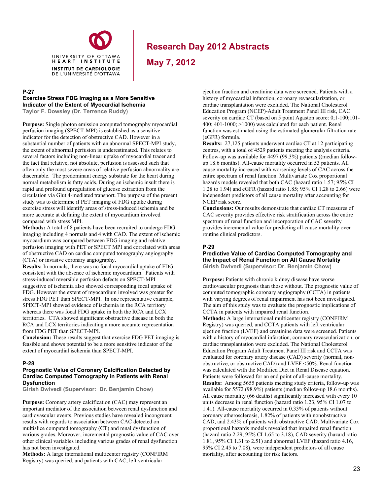

**May 7, 2012**

#### **P-27**

#### **Exercise Stress FDG Imaging as a More Sensitive Indicator of the Extent of Myocardial Ischemia**

**Taylor F. Dowsley (Dr. Terrence Ruddy)** 

**Purpose:** Single photon emission computed tomography myocardial perfusion imaging (SPECT-MPI) is established as a sensitive indicator for the detection of obstructive CAD. However in a substantial number of patients with an abnormal SPECT-MPI study, the extent of abnormal perfusion is underestimated. This relates to several factors including non-linear uptake of myocardial tracer and the fact that relative, not absolute, perfusion is assessed such that often only the most severe areas of relative perfusion abnormality are discernable. The predominant energy substrate for the heart during normal metabolism is fatty acids. During an ischemic insult there is rapid and profound upregulation of glucose extraction from the circulation via Glut 4-mediated transport. The purpose of the present study was to determine if PET imaging of FDG uptake during exercise stress will identify areas of stress-induced ischemia and be more accurate at defining the extent of myocardium involved compared with stress MPI.

**Methods:** A total of 8 patients have been recruited to undergo FDG imaging including 4 normals and 4 with CAD. The extent of ischemic myocardium was compared between FDG imaging and relative perfusion imaging with PET or SPECT MPI and correlated with areas of obstructive CAD on cardiac computed tomography angiography (CTA) or invasive coronary angiography.

**Results:** In normals, there was no focal myocardial uptake of FDG consistent with the absence of ischemic myocardium. Patients with stress-induced reversible perfusion defects on SPECT-MPI suggestive of ischemia also showed corresponding focal uptake of FDG. However the extent of myocardium involved was greater for stress FDG PET than SPECT-MPI. In one representative example, SPECT-MPI showed evidence of ischemia in the RCA territory whereas there was focal FDG uptake in both the RCA and LCX territories. CTA showed significant obstructive disease in both the RCA and LCX territories indicating a more accurate representation from FDG PET than SPECT-MPI.

**Conclusion:** These results suggest that exercise FDG PET imaging is feasible and shows potential to be a more sensitive indicator of the extent of myocardial ischemia than SPECT-MPI.

#### **P-28**

#### **Prognostic Value of Coronary Calcification Detected by Cardiac Computed Tomography in Patients with Renal Dysfunction**

**Girish Dwivedi (Supervisor: Dr. Benjamin Chow)** 

**Purpose:** Coronary artery calcification (CAC) may represent an important mediator of the association between renal dysfunction and cardiovascular events. Previous studies have revealed incongruent results with regards to association between CAC detected on multislice computed tomography (CT) and renal dysfunction of various grades. Moreover, incremental prognostic value of CAC over other clinical variables including various grades of renal dysfunction has not been investigated.

**Methods:** A large international multicenter registry (CONFIRM Registry) was queried, and patients with CAC, left ventricular

ejection fraction and creatinine data were screened. Patients with a history of myocardial infarction, coronary revascularization, or cardiac transplantation were excluded. The National Cholesterol Education Program (NCEP)-Adult Treatment Panel III risk, CAC severity on cardiac CT (based on 5 point Agaston score:  $0;1-100;101 400$ ;  $401-1000$ ;  $>1000$ ) was calculated for each patient. Renal function was estimated using the estimated glomerular filtration rate (eGFR) formula.

**Results:** 27,125 patients underwent cardiac CT at 12 participating centres, with a total of 4529 patients meeting the analysis criteria. Follow-up was available for 4497 (99.3%) patients ((median followup 18.6 months). All-cause mortality occurred in 53 patients. All cause mortality increased with worsening levels of CAC across the entire spectrum of renal function. Multivariate Cox proportional hazards models revealed that both CAC (hazard ratio 1.57; 95% CI 1.28 to 1.94) and eGFR (hazard ratio 1.85; 95% CI 1.28 to 2.66) were independent predictors of all cause mortality after accounting for NCEP risk score.

**Conclusions:** Our results demonstrate that cardiac CT measures of CAC severity provides effective risk stratification across the entire spectrum of renal function and incorporation of CAC severity provides incremental value for predicting all-cause mortality over routine clinical predictors.

### **P-29**

### **Predictive Value of Cardiac Computed Tomography and the Impact of Renal Function on All Cause Mortality**

**Girish Dwivedi (Supervisor: Dr. Benjamin Chow)** 

**Purpose:** Patients with chronic kidney disease have worse cardiovascular prognosis than those without. The prognostic value of computed tomographic coronary angiography (CCTA) in patients with varying degrees of renal impairment has not been investigated. The aim of this study was to evaluate the prognostic implications of CCTA in patients with impaired renal function.

**Methods:** A large international multicenter registry (CONFIRM Registry) was queried, and CCTA patients with left ventricular ejection fraction (LVEF) and creatinine data were screened. Patients with a history of myocardial infarction, coronary revascularization, or cardiac transplantation were excluded. The National Cholesterol Education Program Adult Treatment Panel III risk and CCTA was evaluated for coronary artery disease (CAD) severity (normal, nonobstructive, or obstructive CAD) and LVEF <50%. Renal function was calculated with the Modified Diet in Renal Disease equation. Patients were followed for an end point of all-cause mortality. **Results:** Among 5655 patients meeting study criteria, follow-up was available for 5572 (98.9%) patients (median follow-up 18.6 months). All cause mortality (66 deaths) significantly increased with every 10 units decrease in renal function (hazard ratio 1.23, 95% CI 1.07 to 1.41). All-cause mortality occurred in 0.33% of patients without coronary atherosclerosis, 1.82% of patients with nonobstructive CAD, and 2.43% of patients with obstructive CAD. Multivariate Cox proportional hazards models revealed that impaired renal function (hazard ratio 2.29, 95% CI 1.65 to 3.18), CAD severity (hazard ratio 1.81, 95% CI 1.31 to 2.51) and abnormal LVEF (hazard ratio 4.16, 95% CI 2.45 to 7.08), were independent predictors of all cause mortality, after accounting for risk factors.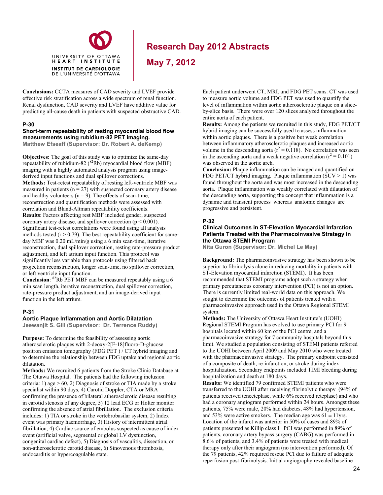

**May 7, 2012**

**Conclusions:** CCTA measures of CAD severity and LVEF provide effective risk stratification across a wide spectrum of renal function. Renal dysfunction, CAD severity and LVEF have additive value for predicting all-cause death in patients with suspected obstructive CAD.

#### **P-30**

### **Short-term repeatability of resting myocardial blood flow measurements using rubidium-82 PET imaging.**

**Matthew Efseaff (Supervisor: Dr. Robert A. deKemp)**

**Objectives:** The goal of this study was to optimize the same-day repeatability of rubidium-82 ( ${}^{82}$ Rb) myocardial blood flow (MBF) imaging with a highly automated analysis program using imagederived input functions and dual spillover corrections. **Methods:** Test-retest repeatability of resting left-ventricle MBF was measured in patients ( $n = 27$ ) with suspected coronary artery disease and healthy volunteers  $(n = 9)$ . The effects of scan-time, reconstruction and quantification methods were assessed with correlation and Bland-Altman repeatability coefficients. **Results**: Factors affecting rest MBF included gender, suspected coronary artery disease, and spillover correction ( $p \le 0.001$ ). Significant test-retest correlations were found using all analysis methods tested  $(r > 0.79)$ . The best repeatability coefficient for sameday MBF was 0.20 mL/min/g using a 6 min scan-time, iterative reconstruction, dual spillover correction, resting rate-pressure product adjustment, and left atrium input function. This protocol was significantly less variable than protocols using filtered back projection reconstruction, longer scan-time, no spillover correction, or left ventricle input function.

**Conclusion**: 82Rb PET MBF can be measured repeatably using a 6 min scan length, iterative reconstruction, dual spillover correction, rate-pressure product adjustment, and an image-derived input function in the left atrium.

#### **P-31**

#### **Aortic Plaque Inflammation and Aortic Dilatation**

**Jeewanjit S. Gill (Supervisor: Dr. Terrence Ruddy)**

**Purpose:** To determine the feasibility of assessing aortic atherosclerotic plaques with 2-deoxy-2[F-18]fluoro-D-glucose positron emission tomography (FDG PET ) / CT hybrid imaging and to determine the relationship between FDG uptake and regional aortic dilatation.

**Methods:** We recruited 6 patients from the Stroke Clinic Database at The Ottawa Hospital. The patients had the following inclusion criteria: 1) age  $> 60$ , 2) Diagnosis of stroke or TIA made by a stroke specialist within 90 days, 4) Carotid Doppler, CTA or MRA confirming the presence of bilateral atherosclerotic disease resulting in carotid stenosis of any degree, 5) 12 lead ECG or Holter monitor confirming the absence of atrial fibrillation. The exclusion criteria includes: 1) TIA or stroke in the vertebrobasilar system, 2) Index event was primary haemorrhage, 3) History of intermittent atrial fibrillation, 4) Cardiac source of embolus suspected as cause of index event (artificial valve, segmental or global LV dysfunction, congenital cardiac defect), 5) Diagnosis of vasculitis, dissection, or non-atherosclerotic carotid disease, 6) Sinovenous thrombosis, endocarditis or hypercoagulable state.

Each patient underwent CT, MRI, and FDG PET scans. CT was used to measure aortic volume and FDG PET was used to quantify the level of inflammation within aortic atherosclerotic plaque on a sliceby-slice basis. There were over 120 slices analyzed throughout the entire aorta of each patient.

**Results:** Among the patients we recruited in this study, FDG PET/CT hybrid imaging can be successfully used to assess inflammation within aortic plaques. There is a positive but weak correlation between inflammatory atherosclerotic plaques and increased aortic volume in the descending aorta ( $r^2 = 0.118$ ). No correlation was seen in the ascending aorta and a weak negative correlation ( $r^2 = 0.101$ ) was observed in the aortic arch.

**Conclusion:** Plaque inflammation can be imaged and quantified on FDG PET/CT hybrid imaging. Plaque inflammation  $(SUV > 1)$  was found throughout the aorta and was most increased in the descending aorta. Plaque inflammation was weakly correlated with dilatation of the descending aorta, supporting the concept that inflammation is a dynamic and transient process whereas anatomic changes are progressive and persistent.

#### **P-32**

#### **Clinical Outcomes in ST-Elevation Myocardial Infarction Patients Treated with the Pharmacoinvasive Strategy in the Ottawa STEMI Program**

**Nita Guron (Supervisor: Dr. Michel Le May)** 

**Background:** The pharmacoinvasive strategy has been shown to be superior to fibrinolysis alone in reducing mortality in patients with ST-Elevation myocardial infarction (STEMI). It has been recommended that STEMI programs adopt such a strategy when primary percutaneous coronary intervention (PCI) is not an option. There is currently limited real-world data on this approach. We sought to determine the outcomes of patients treated with a pharmacoinvasive approach used in the Ottawa Regional STEMI system.

**Methods:** The University of Ottawa Heart Institute's (UOHI) Regional STEMI Program has evolved to use primary PCI for 9 hospitals located within 60 km of the PCI centre, and a pharmacoinvasive strategy for 7 community hospitals beyond this limit. We studied a population consisting of STEMI patients referred to the UOHI between April 2009 and May 2010 who were treated with the pharmacoinvasive strategy. The primary endpoint consisted of a composite of death, re-infarction, or stroke during index hospitalization. Secondary endpoints included TIMI bleeding during hospitalization and death at 180 days.

**Results:** We identified 79 confirmed STEMI patients who were transferred to the UOHI after receiving fibrinolytic therapy (94% of patients received tenecteplase, while 6% received reteplase) and who had a coronary angiogram performed within 24 hours. Amongst these patients, 75% were male, 20% had diabetes, 48% had hypertension, and 53% were active smokers. The median age was  $61 \pm 11$ yrs. Location of the infarct was anterior in 50% of cases and 89% of patients presented as Killip class I. PCI was performed in 89% of patients, coronary artery bypass surgery (CABG) was performed in 8.6% of patients, and 3.4% of patients were treated with medical therapy only after their angiogram (no intervention performed). Of the 79 patients, 42% required rescue PCI due to failure of adequate reperfusion post-fibrinolysis. Initial angiography revealed baseline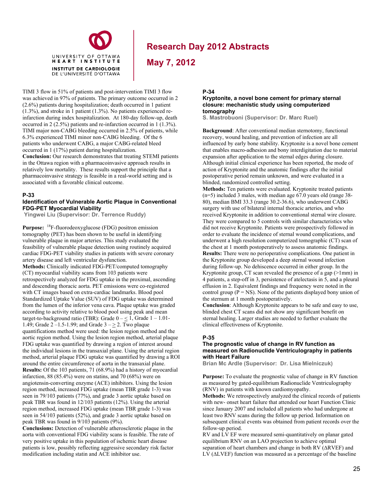

**May 7, 2012**

TIMI 3 flow in 51% of patients and post-intervention TIMI 3 flow was achieved in 97% of patients. The primary outcome occurred in 2 (2.6%) patients during hospitalization; death occurred in 1 patient (1.3%), and stroke in 1 patient (1.3%). No patients experienced reinfarction during index hospitalization. At 180-day follow-up, death occurred in 2 (2.5%) patients and re-infarction occurred in 1 (1.3%). TIMI major non-CABG bleeding occurred in 2.5% of patients, while 6.3% experienced TIMI minor non-CABG bleeding. Of the 6 patients who underwent CABG, a major CABG-related bleed occurred in 1 (17%) patient during hospitalization.

UNIVERSITY OF OTTAWA HEART INSTITUTE **INSTITUT DE CARDIOLOGIE** DE L'UNIVERSITÉ D'OTTAWA

**Conclusion:** Our research demonstrates that treating STEMI patients in the Ottawa region with a pharmacoinvasive approach results in relatively low mortality. These results support the principle that a pharmacoinvasive strategy is feasible in a real-world setting and is associated with a favorable clinical outcome.

#### **P-33**

#### **Identification of Vulnerable Aortic Plaque in Conventional FDG-PET Myocardial Viability**

 **Yingwei Liu (Supervisor: Dr. Terrence Ruddy)** 

**Purpose:** <sup>18</sup>F-fluorodeoxyglucose (FDG) positron emission tomography (PET) has been shown to be useful in identifying vulnerable plaque in major arteries. This study evaluated the feasibility of vulnerable plaque detection using routinely acquired cardiac FDG-PET viability studies in patients with severe coronary artery disease and left ventricular dysfunction. **Methods:** Clinically indicated FDG-PET/computed tomography (CT) myocardial viability scans from 103 patients were retrospectively analyzed for FDG uptake in the proximal, ascending and descending thoracic aorta. PET emissions were co-registered with CT images based on extra-cardiac landmarks. Blood pool Standardized Uptake Value (SUV) of FDG uptake was determined from the lumen of the inferior vena cava. Plaque uptake was graded according to activity relative to blood pool using peak and mean target-to-background ratio (TBR): Grade  $0 - 1$ , Grade  $1 - 1.01$ -1.49; Grade  $2 - 1.5 - 1.99$ ; and Grade  $3 - > 2$ . Two plaque quantifications method were used: the lesion region method and the aortic region method. Using the lesion region method, arterial plaque FDG uptake was quantified by drawing a region of interest around the individual lesions in the transaxial plane. Using the arterial region method, arterial plaque FDG uptake was quantified by drawing a ROI around the entire circumference of aorta in the transaxial plane. **Results:** Of the 103 patients, 71 (68.9%) had a history of myocardial infarction,  $88 (85.4\%)$  were on statins, and  $70 (68\%)$  were on angiotensin-converting enzyme (ACE) inhibitors. Using the lesion region method, increased FDG uptake (mean TBR grade 1-3) was seen in 79/103 patients (77%), and grade 3 aortic uptake based on peak TBR was found in 12/103 patients (12%). Using the arterial region method, increased FDG uptake (mean TBR grade 1-3) was seen in 54/103 patients (52%), and grade 3 aortic uptake based on peak TBR was found in 9/103 patients (9%).

**Conclusions:** Detection of vulnerable atherosclerotic plaque in the aorta with conventional FDG viability scans is feasible. The rate of very positive uptake in this population of ischemic heart disease patients is low, possibly reflecting aggressive secondary risk factor modification including statin and ACE inhibitor use.

#### **P-34**

#### **Kryptonite, a novel bone cement for primary sternal closure: mechanistic study using computerized tomography**

**S. Mastrobuoni (Supervisor: Dr. Marc Ruel)**

**Background**: After conventional median sternotomy, functional recovery, wound healing, and prevention of infection are all influenced by early bone stability. Kryptonite is a novel bone cement that enables macro-adhesion and bony interdigitation due to material expansion after application to the sternal edges during closure. Although initial clinical experience has been reported, the mode of action of Kryptonite and the anatomic findings after the initial postoperative period remain unknown, and were evaluated in a blinded, randomized controlled setting.

**Methods:** Ten patients were evaluated. Kryptonite treated patients (n=5) included 3 males, with median age 67.0 years old (range 38- 80), median BMI 33.3 (range 30.2-36.6), who underwent CABG surgery with use of bilateral internal thoracic arteries, and who received Kryptonite in addition to conventional sternal wire closure. They were compared to 5 controls with similar characteristics who did not receive Kryptonite. Patients were prospectively followed in order to evaluate the incidence of sternal wound complications, and underwent a high resolution computerized tomographic (CT) scan of the chest at 1 month postoperatively to assess anatomic findings. **Results:** There were no perioperative complications. One patient in the Kryptonite group developed a deep sternal wound infection during follow-up. No dehiscence occurred in either group. In the Kryptonite group, CT scan revealed the presence of a gap (>1mm) in 4 patients, a step-off in 3, persistence of atelectasis in 5, and a pleural effusion in 2. Equivalent findings and frequency were noted in the control group ( $\hat{P} = NS$ ). None of the patients displayed bony union of the sternum at 1 month postoperatively.

**Conclusion**: Although Kryptonite appears to be safe and easy to use, blinded chest CT scans did not show any significant benefit on sternal healing. Larger studies are needed to further evaluate the clinical effectiveness of Kryptonite.

#### **P-35**

#### **The prognostic value of change in RV function as measured on Radionuclide Ventriculography in patients with Heart Failure**

**Brian Mc Ardle (Supervisor: Dr. Lisa Mielniczuk)** 

**Purpose:** To evaluate the prognostic value of change in RV function as measured by gated-equilibrium Radionuclide Ventriculography (RNV) in patients with known cardiomyopathy.

**Methods:** We retrospectively analyzed the clinical records of patients with new- onset heart failure that attended our heart Function Clinic since January 2007 and included all patients who had undergone at least two RNV scans during the follow up period. Information on subsequent clinical events was obtained from patient records over the follow-up period.

RV and LV EF were measured semi-quantitatively on planar gated equilibrium RNV on an LAO projection to achieve optimal separation of heart chambers and change in both RV (ΔRVEF) and LV (∆LVEF) function was measured as a percentage of the baseline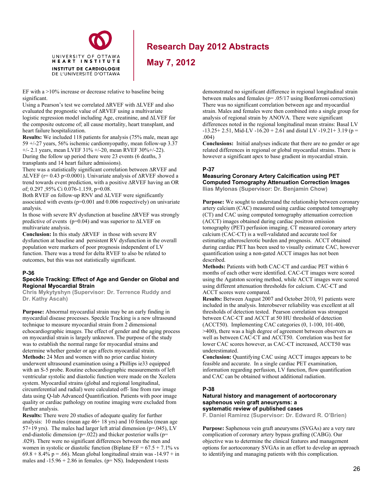

**May 7, 2012**

EF with a  $>10\%$  increase or decrease relative to baseline being significant.

Using a Pearson's test we correlated ∆RVEF with ∆LVEF and also evaluated the prognostic value of ∆RVEF using a multivariate logistic regression model including Age, creatinine, and ∆LVEF for the composite outcome of; all cause mortality, heart transplant, and heart failure hospitalization.

**Results:** We included 118 patients for analysis (75% male, mean age 59 +/-27 years, 56% ischemic cardiomyopathy, mean follow-up 3.37 +/- 2.1 years, mean LVEF 31% +/-20, mean RVEF 30%+/-22). During the follow up period there were 23 events (6 deaths, 3

transplants and 14 heart failure admissions).

There was a statistically significant correlation between ∆RVEF and ∆LVEF (r= 0.43 p<0.0001). Univariate analysis of ∆RVEF showed a trend towards event prediction, with a positive ∆RVEF having an OR of; 0.297 ,95% Ci 0.076-1.159, p=0.08.

Both RVEF on follow-up RNV and ∆LVEF were significantly associated with events (p=0.001 and 0.006 respectively) on univariate analysis.

In those with severe RV dysfunction at baseline ∆RVEF was strongly predictive of events (p=0.04) and was superior to ∆LVEF on multivariate analysis.

**Conclusion:** In this study ∆RVEF in those with severe RV dysfunction at baseline and persistent RV dysfunction in the overall population were markers of poor prognosis independent of LV function. There was a trend for delta RVEF to also be related to outcomes, but this was not statistically significant.

#### **P-36**

#### **Speckle Tracking: Effect of Age and Gender on Global and Regional Myocardial Strain**

**Chris Mykytyshyn (Supervisor: Dr. Terrence Ruddy and Dr. Kathy Ascah)** 

**Purpose:** Abnormal myocardial strain may be an early finding in myocardial disease processes. Speckle Tracking is a new ultrasound technique to measure myocardial strain from 2 dimensional echocardiographic images. The effect of gender and the aging process on myocardial strain is largely unknown. The purpose of the study was to establish the normal range for myocardial strains and determine whether gender or age affects myocardial strain. **Methods:** 24 Men and women with no prior cardiac history underwent ultrasound examination using a Phillips ie33 equipped with an S-5 probe. Routine echocardiographic measurements of left ventricular systolic and diastolic function were made on the Xcelera system. Myocardial strains (global and regional longitudinal, circumferential and radial) were calculated off- line from raw image data using Q-lab Advanced Quantification. Patients with poor image quality or cardiac pathology on routine imaging were excluded from further analysis.

**Results:** There were 20 studies of adequate quality for further analysis: 10 males (mean age 46+ 18 yrs) and 10 females (mean age 57+19 yrs). The males had larger left atrial dimension ( $p=0.045$ ), LV end-diastolic dimension ( $p=0.022$ ) and thicker posterior walls ( $p=$ .029). There were no significant differences between the men and women in systolic or diastolic function (Biplane  $EF = 67.5 + 7.1\%$  vs  $69.8 + 8.4\%$  p = .66). Mean global longitudinal strain was -14.97 + in males and  $-15.96 + 2.86$  in females. ( $p = NS$ ). Independent t-tests

demonstrated no significant difference in regional longitudinal strain between males and females (p= .05/17 using Bonferroni correction) There was no significant correlation between age and myocardial strain. Males and females were then combined into a single group for analysis of regional strain by ANOVA. There were significant differences noted in the regional longitudinal mean strains: Basal LV  $-13.25+ 2.51$ , Mid-LV  $-16.20 + 2.61$  and distal LV  $-19.21+ 3.19$  (p = .004)

**Conclusions:** Initial analyses indicate that there are no gender or age related differences in regional or global myocardial strains. There is however a significant apex to base gradient in myocardial strain.

### **P-37**

# **Measuring Coronary Artery Calcification using PET Computed Tomography Attenuation Correction Images**

**Ilias Mylonas (Supervisor: Dr. Benjamin Chow)** 

**Purpose:** We sought to understand the relationship between coronary artery calcium (CAC) measured using cardiac computed tomography (CT) and CAC using computed tomography attenuation correction (ACCT) images obtained during cardiac positron emission tomography (PET) perfusion imaging. CT measured coronary artery calcium (CAC-CT) is a well-validated and accurate tool for estimating atherosclerotic burden and prognosis. ACCT obtained during cardiac PET has been used to visually estimate CAC, however quantification using a non-gated ACCT images has not been described.

**Methods:** Patients with both CAC-CT and cardiac PET within 6 months of each other were identified. CAC-CT images were scored using the Agatston scoring method, while ACCT images were scored using different attenuation thresholds for calcium. CAC-CT and ACCT scores were compared.

**Results:** Between August 2007 and October 2010, 91 patients were included in the analysis. Interobsever reliability was excellent at all thresholds of detection tested. Pearson correlation was strongest between CAC-CT and ACCT at 50 HU threshold of detection (ACCT50). Implementing CAC categories (0, 1-100, 101-400, >400), there was a high degree of agreement between observers as well as between CAC-CT and ACCT50. Correlation was best for lower CAC scores however, as CAC-CT increased, ACCT50 was underestimated.

**Conclusion:** Quantifying CAC using ACCT images appears to be feasible and accurate. In a single cardiac PET examination, information regarding perfusion, LV function, flow quantification and CAC can be obtained without additional radiation.

### **P-38**

#### **Natural history and management of aortocoronary saphenous vein graft aneurysms: a systematic review of published cases**

**F. Daniel Ramirez (Supervisor: Dr. Edward R. O'Brien)** 

**Purpose:** Saphenous vein graft aneurysms (SVGAs) are a very rare complication of coronary artery bypass grafting (CABG). Our objective was to determine the clinical features and management options for aortocoronary SVGAs in an effort to develop an approach to identifying and managing patients with this complication.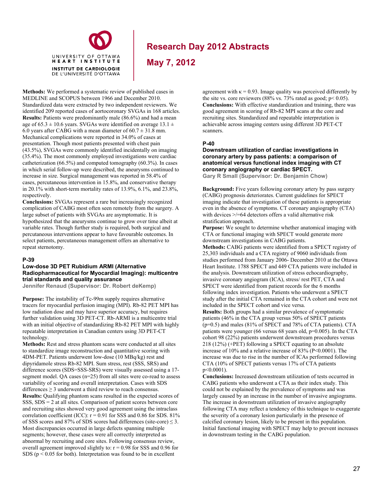

**May 7, 2012**

**Methods:** We performed a systematic review of published cases in MEDLINE and SCOPUS between 1966 and December 2010. Standardized data were extracted by two independent reviewers. We identified 209 reported cases of aortocoronary SVGAs in 168 articles. **Results:** Patients were predominantly male (86.6%) and had a mean age of 65.3  $\pm$  10.6 years. SVGAs were identified on average 13.1  $\pm$ 6.0 years after CABG with a mean diameter of  $60.7 \pm 31.8$  mm. Mechanical complications were reported in 34.0% of cases at presentation. Though most patients presented with chest pain (43.5%), SVGAs were commonly identified incidentally on imaging (35.4%). The most commonly employed investigations were cardiac catheterization (66.5%) and computed tomography (60.3%). In cases in which serial follow-up were described, the aneurysms continued to increase in size. Surgical management was reported in 58.4% of cases, percutaneous intervention in 15.8%, and conservative therapy in 20.1% with short-term mortality rates of 13.9%, 6.1%, and 23.8%, respectively.

**Conclusions:** SVGAs represent a rare but increasingly recognized complication of CABG most often seen remotely from the surgery. A large subset of patients with SVGAs are asymptomatic. It is hypothesized that the aneurysms continue to grow over time albeit at variable rates. Though further study is required, both surgical and percutaneous interventions appear to have favourable outcomes. In select patients, percutaneous management offers an alternative to repeat sternotomy.

#### **P-39**

#### **Low-dose 3D PET Rubidium ARMI (Alternative Radiopharmaceutical for Myocardial Imaging): multicentre trial standards and quality assurance**

**Jennifer Renaud (Supervisor: Dr. Robert deKemp)** 

**Purpose:** The instability of Tc-99m supply requires alternative tracers for myocardial perfusion imaging (MPI). Rb-82 PET MPI has low radiation dose and may have superior accuracy, but requires further validation using 3D PET-CT. Rb-ARMI is a multicentre trial with an initial objective of standardizing Rb-82 PET MPI with highly repeatable interpretation in Canadian centers using 3D PET-CT technology.

**Methods:** Rest and stress phantom scans were conducted at all sites to standardize image reconstruction and quantitative scoring with 4DM-PET. Patients underwent low-dose (10 MBq/kg) rest and dipyridamole stress Rb-82 MPI. Sum stress, rest (SSS, SRS) and difference scores (SDS=SSS-SRS) were visually assessed using a 17 segment model. QA cases (n=25) from all sites were co-read to assess variability of scoring and overall interpretation. Cases with SDS differences  $\geq 3$  underwent a third review to reach consensus. **Results:** Qualifying phantom scans resulted in the expected scores of SSS, SDS = 2 at all sites. Comparison of patient scores between core and recruiting sites showed very good agreement using the intraclass correlation coefficient (ICC):  $r = 0.91$  for SSS and 0.86 for SDS. 81% of SSS scores and 87% of SDS scores had differences (site-core)  $\leq$  3. Most discrepancies occurred in large defects spanning multiple segments; however, these cases were all correctly interpreted as abnormal by recruiting and core sites. Following consensus review, overall agreement improved slightly to:  $r = 0.98$  for SSS and 0.96 for SDS ( $p < 0.05$  for both). Interpretation was found to be in excellent

agreement with  $\kappa = 0.93$ . Image quality was perceived differently by the site vs. core reviewers (88% vs. 73% rated as good;  $p < 0.05$ ). **Conclusions:** With effective standardization and training, there was good agreement in scoring of Rb-82 MPI scans at the core and recruiting sites. Standardized and repeatable interpretation is achievable across imaging centers using different 3D PET-CT scanners.

#### **P-40**

#### **Downstream utilization of cardiac investigations in coronary artery by pass patients: a comparison of anatomical versus functional index imaging with CT coronary angiography or cardiac SPECT.**

**Gary R Small (Supervisor: Dr. Benjamin Chow)** 

**Background:** Five years following coronary artery by pass surgery (CABG) prognosis deteriorates. Current guidelines for SPECT imaging indicate that investigation of these patients is appropriate even in the absence of symptoms. CT coronary angiography (CTA) with devices  $\ge$ /=64 detectors offers a valid alternative risk stratification approach.

**Purpose:** We sought to determine whether anatomical imaging with CTA or functional imaging with SPECT would generate more downstream investigations in CABG patients.

**Methods:** CABG patients were identified from a SPECT registry of 25,303 individuals and a CTA registry of 9060 individuals from studies performed from January 2006- December 2010 at the Ottawa Heart Institute. 1788 SPECT and 449 CTA patients were included in the analysis. Downstream utilization of stress echocardiography, invasive coronary angiogram (ICA), stress/ rest PET, CTA and SPECT were identified from patient records for the 6 months following index investigation. Patients who underwent a SPECT study after the initial CTA remained in the CTA cohort and were not included in the SPECT cohort and vice versa.

**Results:** Both groups had a similar prevalence of symptomatic patients (46% in the CTA group versus 50% of SPECT patients (p=0.5) and males (81% of SPECT and 78% of CTA patients). CTA patients were younger (66 versus 68 years old, p=0.005). In the CTA cohort 98 (22%) patients underwent downstream procedures versus 218 (12%) (+PET) following a SPECT equating to an absolute increase of 10% and a relative increase of 83% (P<0.0001). The increase was due to rise in the number of ICAs performed following CTA (10% of SPECT patients versus 17% of CTA patients p<0.0001).

**Conclusions:** Increased downstream utilization of tests occurred in CABG patients who underwent a CTA as their index study. This could not be explained by the prevalence of symptoms and was largely caused by an increase in the number of invasive angiograms. The increase in downstream utilization of invasive angiography following CTA may reflect a tendency of this technique to exaggerate the severity of a coronary lesion particularly in the presence of calcified coronary lesion, likely to be present in this population. Initial functional imaging with SPECT may help to prevent increases in downstream testing in the CABG population.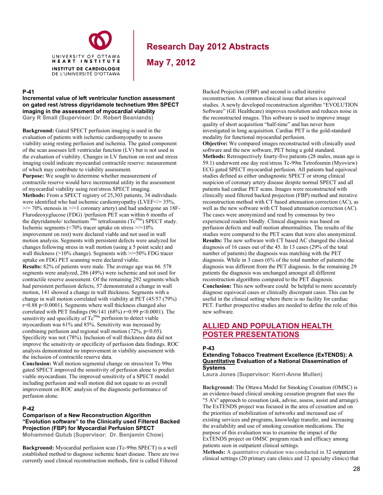

**May 7, 2012**

#### **P-41**

**Incremental value of left ventricular function assessment on gated rest /stress dipyridamole technetium 99m SPECT imaging in the assessment of myocardial viability Gary R Small (Supervisor: Dr. Robert Beanlands)**

**Background:** Gated SPECT perfusion imaging is used in the evaluation of patients with ischemic cardiomyopathy to assess viability using resting perfusion and ischemia. The gated component of the scan assesses left ventricular function (LV) but is not used in the evaluation of viability. Changes in LV function on rest and stress imaging could indicate myocardial contractile reserve: measurement of which may contribute to viability assessment.

**Purpose:** We sought to determine whether measurement of contractile reserve would have incremental utility in the assessment of myocardial viability using rest/stress SPECT imaging. **Methods:** From a SPECT registry of 25,303 patients, 34 individuals were identified who had ischemic cardiomyopathy (LVEF</= 35%,  $\ge$ /= 70% stenosis in  $\ge$ /=1 coronary artery) and had undergone an 18F-Flurodeoxyglucose (FDG) /perfusion PET scan within 6 months of the dipyridamole/ technetium  $99m$  tetrafosamin (Tc $^{99m}$ ) SPECT study. Ischemic segments ( $\langle 70\%$  tracer uptake on stress  $\ge$ /=10% improvement on rest) were declared viable and not used in wall motion analysis. Segments with persistent defects were analyzed for changes following stress in wall motion (using a 5 point scale) and wall thickness (>10% change). Segments with >/=50% FDG tracer uptake on FDG PET scanning were declared viable.

**Results:** 82% of patients were male. The average age was 66. 578 segments were analyzed, 286 (49%) were ischemic and not used for contractile reserve assessment. Of the remaining 292 segments which had persistent perfusion defects, 57 demonstrated a change in wall motion, 141 showed a change in wall thickness. Segments with a change in wall motion correlated with viability at PET (45/57 (79%) r=0.88 p<0.0001). Segments where wall thickness changed also correlated with PET findings (96/141 (68%)  $r=0.99$  p<0.0001). The sensitivity and specificity of  $Tc^{99m}$  perfusion to detect viable myocardium was 61% and 85%. Sensitivity was increased by combining perfusion and regional wall motion  $(72\%, p<0.05)$ . Specificity was not (78%). Inclusion of wall thickness data did not improve the sensitivity or specificity of perfusion data findings. ROC analysis demonstrated no improvement in viability assessment with the inclusion of contractile reserve data.

**Conclusion:** Wall motion segmental change on stress/rest Tc 99m gated SPECT improved the sensitivity of perfusion alone to predict viable myocardium. The improved sensitivity of a SPECT model including perfusion and wall motion did not equate to an overall improvement on ROC analysis of the diagnostic performance of perfusion alone.

#### **P-42**

**Comparison of a New Reconstruction Algorithm "Evolution software" to the Clinically used Filtered Backed Projection (FBP) for Myocardial Perfusion SPECT Mohammed Qutub (Supervisor: Dr. Benjamin Chow)** 

**Background:** Myocardial perfusion scan (Tc-99m SPECT) is a well established method to diagnose ischemic heart disease. There are two currently used clinical reconstruction methods, first is called Filtered

Backed Projection (FBP) and second is called iterative reconstruction. A common clinical issue that arises is equivocal studies. A newly developed reconstruction algorithm "EVOLUTION Software" (GE Healthcare) improves resolution and reduces noise in the reconstructed images. This software is used to improve image quality of short acquisition "half-time" and has never been investigated in long acquisition. Cardiac PET is the gold-standard modality for functional myocardial perfusion. **Objective:** We compared images reconstructed with clinically used software and the new software, PET being a gold standard. **Methods:** Retrospectively fourty-five patients (28 males, mean age is 59.1) underwent one day rest/stress Tc-99m Tetrofosmin (Myoview) ECG gated SPECT myocardial perfusion. All patients had equivocal studies defined as either undiagnostic SPECT or strong clinical suspicion of coronary artery disease despite normal SPECT and all patients had cardiac PET scans. Images were reconstructed with clinically used filtered backed projection (FBP) method and iterative reconstruction method with CT based attenuation correction (AC), as well as the new software with CT based attenuation correction (AC). The cases were anonymized and read by consensus by two experienced readers blindly. Clinical diagnosis was based on perfusion defects and wall motion abnormalities. The results of the studies were compared to the PET scans that were also anonymized. **Results:** The new software with CT based AC changed the clinical diagnosis of 16 cases out of the 45. In 13 cases (29% of the total number of patients) the diagnosis was matching with the PET diagnosis. While in 3 cases (6% of the total number of patients) the diagnosis was different from the PET diagnosis. In the remaining 29 patients the diagnosis was unchanged amongst all different reconstruction algorithms compared to the PET diagnosis. **Conclusion:** This new software could be helpful to more accurately diagnose equivocal cases or clinically discrepant cases. This can be useful in the clinical setting where there is no facility for cardiac PET. Further prospective studies are needed to define the role of this new software.

### **ALLIED AND POPULATION HEALTH POSTER PRESENTATIONS**

#### **P-43**

#### **Extending Tobacco Treatment Excellence (ExTENDS): A Quantitative Evaluation of a National Dissemination of Systems**

**Laura Jones (Supervisor: Kerri-Anne Mullen)** 

**Background:** The Ottawa Model for Smoking Cessation (OMSC) is an evidence-based clinical smoking cessation program that uses the "5 A's" approach to cessation (ask, advise, assess, assist and arrange). The ExTENDS project was focused in the area of cessation and on the priorities of mobilization of networks and increased use of existing services and programs, knowledge transfer, and increasing the availability and use of smoking cessation medications. The purpose of this evaluation was to examine the impact of the ExTENDS project on OMSC program reach and efficacy among patients seen in outpatient clinical settings.

**Methods:** A quantitative evaluation was conducted in 32 outpatient clinical settings (20 primary care clinics and 12 specialty clinics) that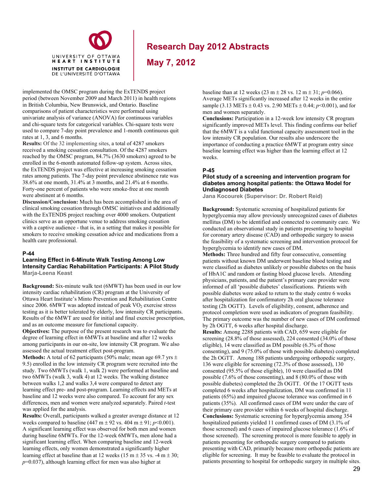

**May 7, 2012**

implemented the OMSC program during the ExTENDS project period (between November 2009 and March 2011) in health regions in British Columbia, New Brunswick, and Ontario. Baseline comparisons of patient characteristics were performed using univariate analysis of variance (ANOVA) for continuous variables and chi-square tests for categorical variables. Chi-square tests were used to compare 7-day point prevalence and 1-month continuous quit rates at 1, 3, and 6 months.

**Results:** Of the 32 implementing sites, a total of 4287 smokers received a smoking cessation consultation. Of the 4287 smokers reached by the OMSC program, 84.7% (3630 smokers) agreed to be enrolled in the 6-month automated follow-up system. Across sites, the ExTENDS project was effective at increasing smoking cessation rates among patients. The 7-day point prevalence abstinence rate was 38.6% at one month, 31.4% at 3 months, and 21.4% at 6 months. Forty-one percent of patients who were smoke-free at one month were abstinent at 6 months.

**Discussion/Conclusion:** Much has been accomplished in the area of clinical smoking cessation through OMSC initiatives and additionally with the ExTENDS project reaching over 4000 smokers. Outpatient clinics serve as an opportune venue to address smoking cessation with a captive audience - that is, in a setting that makes it possible for smokers to receive smoking cessation advice and medications from a health care professional.

#### **P-44**

#### **Learning Effect in 6-Minute Walk Testing Among Low Intensity Cardiac Rehabilitation Participants: A Pilot Study Marja-Leena Keast**

**Background:** Six-minute walk test (6MWT) has been used in our low intensity cardiac rehabilitation (CR) program at the University of Ottawa Heart Institute's Minto Prevention and Rehabilitation Centre since 2006.  $6MWT$  was adopted instead of peak  $VO<sub>2</sub>$  exercise stress testing as it is better tolerated by elderly, low intensity CR participants. Results of the 6MWT are used for initial and final exercise prescription, and as an outcome measure for functional capacity.

**Objectives:** The purpose of the present research was to evaluate the degree of learning effect in 6MWTs at baseline and after 12 weeks among participants in our on-site, low intensity CR program. We also assessed the actual treatment effect post-program.

**Methods:** A total of 62 participants (50% male; mean age 69.7 yrs  $\pm$ 9.5) enrolled in the low intensity CR program were recruited into the study. Two 6MWTs (walk 1, walk 2) were performed at baseline and two 6MWTs (walk 3, walk 4) at 12 weeks. The walking distance between walks 1,2 and walks 3,4 were compared to detect any learning effect pre- and post-program. Learning effects and METs at baseline and 12 weeks were also compared. To account for any sex differences, men and women were analyzed separately. Paired *t*-test was applied for the analysis.

**Results:** Overall, participants walked a greater average distance at 12 weeks compared to baseline (447 m  $\pm$  92 vs. 404 m  $\pm$  91; *p*<0.001). A significant learning effect was observed for both men and women during baseline 6MWTs. For the 12-week 6MWTs, men alone had a significant learning effect. When comparing baseline and 12-week learning effects, only women demonstrated a significantly higher learning effect at baseline than at 12 weeks (15 m  $\pm$  35 vs. -4 m  $\pm$  30; *p*=0.037), although learning effect for men was also higher at

baseline than at 12 weeks (23 m  $\pm$  28 vs. 12 m  $\pm$  31; *p*=0.066). Average METs significantly increased after 12 weeks in the entire sample (3.13 METs  $\pm$  0.43 vs. 2.90 METs  $\pm$  0.44; *p*<0.001), and for men and women separately.

**Conclusions:** Participation in a 12-week low intensity CR program significantly improved METs level. This finding confirms our belief that the 6MWT is a valid functional capacity assessment tool in the low intensity CR population. Our results also underscore the importance of conducting a practice 6MWT at program entry since baseline learning effect was higher than the learning effect at 12 weeks.

#### **P-45**

#### **Pilot study of a screening and intervention program for diabetes among hospital patients: the Ottawa Model for Undiagnosed Diabetes**

**Jana Kocourek (Supervisor: Dr. Robert Reid)** 

**Background:** Systematic screening of hospitalized patients for hyperglycemia may allow previously unrecognized cases of diabetes mellitus (DM) to be identified and connected to community care. We conducted an observational study in patients presenting to hospital for coronary artery disease (CAD) and orthopedic surgery to assess the feasibility of a systematic screening and intervention protocol for hyperglycemia to identify new cases of DM.

**Methods:** Three hundred and fifty four consecutive, consenting patients without known DM underwent baseline blood testing and were classified as diabetes unlikely or possible diabetes on the basis of HbA1C and random or fasting blood glucose levels. Attending physicians, patients, and the patient's primary care provider were informed of all 'possible diabetes' classifications. Patients with possible diabetes were asked to return to the study centre 6 weeks after hospitalization for confirmatory 2h oral glucose tolerance testing (2h OGTT). Levels of eligibility, consent, adherence and protocol completion were used as indicators of program feasibility. The primary outcome was the number of new cases of DM confirmed by 2h OGTT, 6 weeks after hospital discharge.

**Results:** Among 2288 patients with CAD, 659 were eligible for screening (28.8% of those assessed), 224 consented (34.0% of those eligible), 14 were classified as DM possible (6.3% of those consenting), and 9 (75.0% of those with possible diabetes) completed the 2h OGTT. Among 188 patients undergoing orthopedic surgery, 136 were eligible for screening (72.3% of those assessed), 130 consented (95.5% of those eligible), 10 were classified as DM possible (7.6% of those consenting), and 8 (80.0% of those with possible diabetes) completed the 2h OGTT. Of the 17 OGTT tests completed 6 weeks after hospitalization, DM was confirmed in 11 patients (65%) and impaired glucose tolerance was confirmed in 6 patients (35%). All confirmed cases of DM were under the care of their primary care provider within 6 weeks of hospital discharge. **Conclusions:** Systematic screening for hyperglycemia among 354 hospitalized patients yielded 11 confirmed cases of DM (3.1% of those screened) and 6 cases of impaired glucose tolerance (1.6% of those screened). The screening protocol is more feasible to apply in patients presenting for orthopedic surgery compared to patients presenting with CAD, primarily because more orthopedic patients are eligible for screening. It may be feasible to evaluate the protocol in patients presenting to hospital for orthopedic surgery in multiple sites.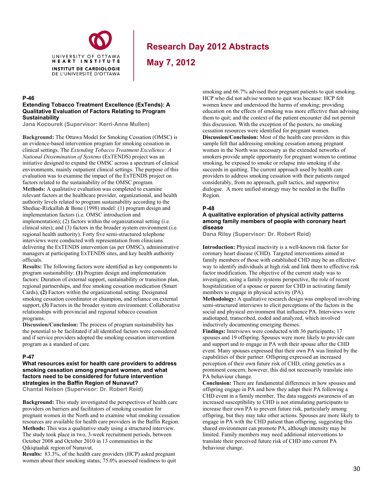

**May 7, 2012**

### **P-46**

#### **Extending Tobacco Treatment Excellence (ExTends): A Qualitative Evaluation of Factors Relating to Program Sustainability**

**Jana Kocourek (Supervisor: Kerri-Anne Mullen)** 

**Background:** The Ottawa Model for Smoking Cessation (OMSC) is an evidence-based intervention program for smoking cessation in clinical settings. The *Extending Tobacco Treatment Excellence: A National Dissemination of Systems* (ExTENDS) project was an initiative designed to expand the OMSC across a spectrum of clinical environments, mainly outpatient clinical settings. The purpose of this evaluation was to examine the impact of the ExTENDS project on factors related to the sustainability of the OMSC program. **Methods:** A qualitative evaluation was completed to examine relevant factors at the healthcare provider, organizational, and health authority levels related to program sustainability according to the Shediac-Rizkallah & Bone (1998) model: (1) program design and implementation factors (i.e. OMSC introduction and implementation); (2) factors within the organizational setting (i.e. clinical sites); and (3) factors in the broader system environment (i.e. regional health authority). Forty five semi-structured telephone interviews were conducted with representation from clinicians delivering the ExTENDS intervention (as per OMSC), administrative managers at participating ExTENDS sites, and key health authority officials.

**Results:** The following factors were identified as key components to program sustainability: **(1)** Program design and implementation factors: Duration of external support, sustainability or transition plan, regional partnerships, and free smoking cessation medication (Smart Cards), **(2)** Factors within the organizational setting: Designated smoking cessation coordinator or champion, and reliance on external support, **(3)** Factors in the broader system environment: Collaborative relationships with provincial and regional tobacco cessation programs.

**Discussion/Conclusion:** The process of program sustainability has the potential to be facilitated if all identified factors were considered and if service providers adopted the smoking cessation intervention program as a standard of care.

#### **P-47**

**What resources exist for health care providers to address smoking cessation among pregnant women, and what factors need to be considered for future intervention strategies in the Baffin Region of Nunavut?** 

**Chantal Nelson (Supervisor: Dr. Robert Reid)** 

**Background:** This study investigated the perspectives of health care providers on barriers and facilitators of smoking cessation for pregnant women in the North and to examine what smoking cessation resources are available for health care providers in the Baffin Region. **Methods:** This was a qualitative study using a structured interview. The study took place in two, 3-week recruitment periods, between October 2008 and October 2010 in 13 communities in the Qikiqtaaluk region of Nunavut.

**Results:** 83.3%, of the health care providers (HCP) asked pregnant women about their smoking status; 75.0% assessed readiness to quit

smoking and 66.7% advised their pregnant patients to quit smoking. HCP who did not advise women to quit was because: HCP felt women knew and understood the harms of smoking; providing education on the effects of smoking was more effective than advising them to quit; and the context of the patient encounter did not permit this discussion. With the exception of the posters, no smoking cessation resources were identified for pregnant women. **Discussion/Conclusion:** Most of the health care providers in this sample felt that addressing smoking cessation among pregnant women in the North was necessary as the extended networks of smokers provide ample opportunity for pregnant women to continue smoking, be exposed to smoke or relapse into smoking if she succeeds in quitting. The current approach used by health care providers to address smoking cessation with their patients ranged considerably, from no approach, guilt tactics, and supportive dialogue. A more unified strategy may be needed in the Baffin Region.

#### **P-48**

#### **A qualitative exploration of physical activity patterns among family members of people with coronary heart disease**

**Dana Riley (Supervisor: Dr. Robert Reid)** 

**Introduction:** Physical inactivity is a well-known risk factor for coronary heart disease (CHD). Targeted interventions aimed at family members of those with established CHD may be an effective way to identify individuals at high risk and link them to effective risk factor modification. The objective of the current study was to investigate, using a family systems perspective, the role of recent hospitalization of a spouse or parent for CHD in activating family members to engage in physical activity (PA).

**Methodology:** A qualitative research design was employed involving semi-structured interviews to elicit perceptions of the factors in the social and physical environment that influence PA. Interviews were audiotaped, transcribed, coded and analyzed, which involved inductively documenting emerging themes.

**Findings:** Interviews were conducted with 36 participants; 17 spouses and 19 offspring. Spouses were more likely to provide care and support and to engage in PA with their spouse after the CHD event. Many spouses expressed that their own PA was limited by the capabilities of their partner. Offspring expressed an increased perception of their own future risk of CHD, citing genetics as a prominent concern; however, this did not necessarily translate into PA behaviour change.

**Conclusion:** There are fundamental differences in how spouses and offspring engage in PA and how they adapt their PA following a CHD event in a family member. The data suggests awareness of an increased susceptibility to CHD is not stimulating participants to increase their own PA to prevent future risk, particularly among offspring, but they may take other actions. Spouses are more likely to engage in PA with the CHD patient than offspring, suggesting this shared environment can promote PA, although intensity may be limited. Family members may need additional interventions to translate their perceived future risk of CHD into current PA behaviour change.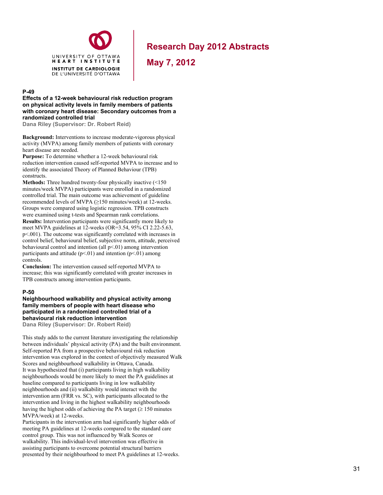

**May 7, 2012**

#### **P-49**

**Effects of a 12-week behavioural risk reduction program on physical activity levels in family members of patients with coronary heart disease: Secondary outcomes from a randomized controlled trial** 

**Dana Riley (Supervisor: Dr. Robert Reid)** 

**Background:** Interventions to increase moderate-vigorous physical activity (MVPA) among family members of patients with coronary heart disease are needed.

**Purpose:** To determine whether a 12-week behavioural risk reduction intervention caused self-reported MVPA to increase and to identify the associated Theory of Planned Behaviour (TPB) constructs.

**Methods:** Three hundred twenty-four physically inactive (<150 minutes/week MVPA) participants were enrolled in a randomized controlled trial. The main outcome was achievement of guideline recommended levels of MVPA (≥150 minutes/week) at 12-weeks. Groups were compared using logistic regression. TPB constructs were examined using t-tests and Spearman rank correlations.

**Results:** Intervention participants were significantly more likely to meet MVPA guidelines at 12-weeks (OR=3.54, 95% CI 2.22-5.63, p<.001). The outcome was significantly correlated with increases in control belief, behavioural belief, subjective norm, attitude, perceived behavioural control and intention (all p<.01) among intervention participants and attitude  $(p<0.01)$  and intention  $(p<0.01)$  among controls.

**Conclusion:** The intervention caused self-reported MVPA to increase; this was significantly correlated with greater increases in TPB constructs among intervention participants.

#### **P-50**

### **Neighbourhood walkability and physical activity among family members of people with heart disease who participated in a randomized controlled trial of a behavioural risk reduction intervention**

**Dana Riley (Supervisor: Dr. Robert Reid)**

This study adds to the current literature investigating the relationship between individuals' physical activity (PA) and the built environment. Self-reported PA from a prospective behavioural risk reduction intervention was explored in the context of objectively measured Walk Scores and neighbourhood walkability in Ottawa, Canada. It was hypothesized that (i) participants living in high walkability neighbourhoods would be more likely to meet the PA guidelines at baseline compared to participants living in low walkability neighbourhoods and (ii) walkability would interact with the intervention arm (FRR vs. SC), with participants allocated to the intervention and living in the highest walkability neighbourhoods having the highest odds of achieving the PA target  $(\geq 150$  minutes MVPA/week) at 12-weeks.

Participants in the intervention arm had significantly higher odds of meeting PA guidelines at 12-weeks compared to the standard care control group. This was not influenced by Walk Scores or walkability. This individual-level intervention was effective in assisting participants to overcome potential structural barriers presented by their neighbourhood to meet PA guidelines at 12-weeks.